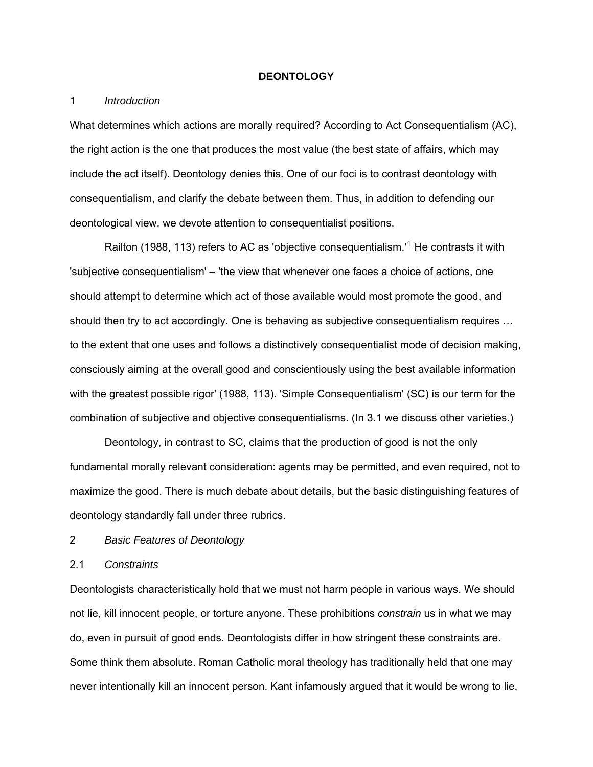## **DEONTOLOGY**

## 1 *Introduction*

What determines which actions are morally required? According to Act Consequentialism (AC), the right action is the one that produces the most value (the best state of affairs, which may include the act itself). Deontology denies this. One of our foci is to contrast deontology with consequentialism, and clarify the debate between them. Thus, in addition to defending our deontological view, we devote attention to consequentialist positions.

Railton ([1](#page-50-0)988, 113) refers to AC as 'objective consequentialism.<sup>1</sup> He contrasts it with 'subjective consequentialism' – 'the view that whenever one faces a choice of actions, one should attempt to determine which act of those available would most promote the good, and should then try to act accordingly. One is behaving as subjective consequentialism requires … to the extent that one uses and follows a distinctively consequentialist mode of decision making, consciously aiming at the overall good and conscientiously using the best available information with the greatest possible rigor' (1988, 113). 'Simple Consequentialism' (SC) is our term for the combination of subjective and objective consequentialisms. (In 3.1 we discuss other varieties.)

Deontology, in contrast to SC, claims that the production of good is not the only fundamental morally relevant consideration: agents may be permitted, and even required, not to maximize the good. There is much debate about details, but the basic distinguishing features of deontology standardly fall under three rubrics.

# 2 *Basic Features of Deontology*

2.1 *Constraints*

Deontologists characteristically hold that we must not harm people in various ways. We should not lie, kill innocent people, or torture anyone. These prohibitions *constrain* us in what we may do, even in pursuit of good ends. Deontologists differ in how stringent these constraints are. Some think them absolute. Roman Catholic moral theology has traditionally held that one may never intentionally kill an innocent person. Kant infamously argued that it would be wrong to lie,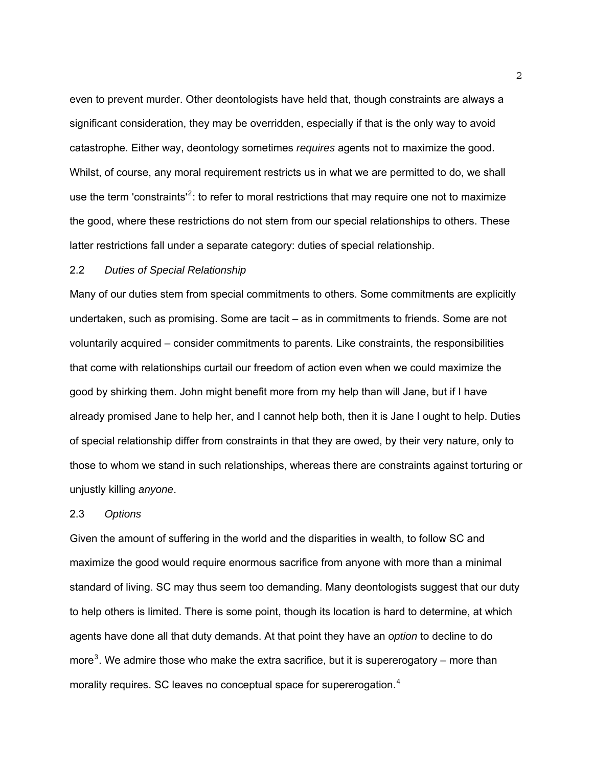even to prevent murder. Other deontologists have held that, though constraints are always a significant consideration, they may be overridden, especially if that is the only way to avoid catastrophe. Either way, deontology sometimes *requires* agents not to maximize the good. Whilst, of course, any moral requirement restricts us in what we are permitted to do, we shall use the term 'constraints'<sup>[2](#page-50-1)</sup>: to refer to moral restrictions that may require one not to maximize the good, where these restrictions do not stem from our special relationships to others. These latter restrictions fall under a separate category: duties of special relationship.

### 2.2 *Duties of Special Relationship*

Many of our duties stem from special commitments to others. Some commitments are explicitly undertaken, such as promising. Some are tacit – as in commitments to friends. Some are not voluntarily acquired – consider commitments to parents. Like constraints, the responsibilities that come with relationships curtail our freedom of action even when we could maximize the good by shirking them. John might benefit more from my help than will Jane, but if I have already promised Jane to help her, and I cannot help both, then it is Jane I ought to help. Duties of special relationship differ from constraints in that they are owed, by their very nature, only to those to whom we stand in such relationships, whereas there are constraints against torturing or unjustly killing *anyone*.

### 2.3 *Options*

Given the amount of suffering in the world and the disparities in wealth, to follow SC and maximize the good would require enormous sacrifice from anyone with more than a minimal standard of living. SC may thus seem too demanding. Many deontologists suggest that our duty to help others is limited. There is some point, though its location is hard to determine, at which agents have done all that duty demands. At that point they have an *option* to decline to do more<sup>[3](#page-50-1)</sup>. We admire those who make the extra sacrifice, but it is supererogatory – more than morality requires. SC leaves no conceptual space for supererogation.<sup>[4](#page-50-1)</sup>

2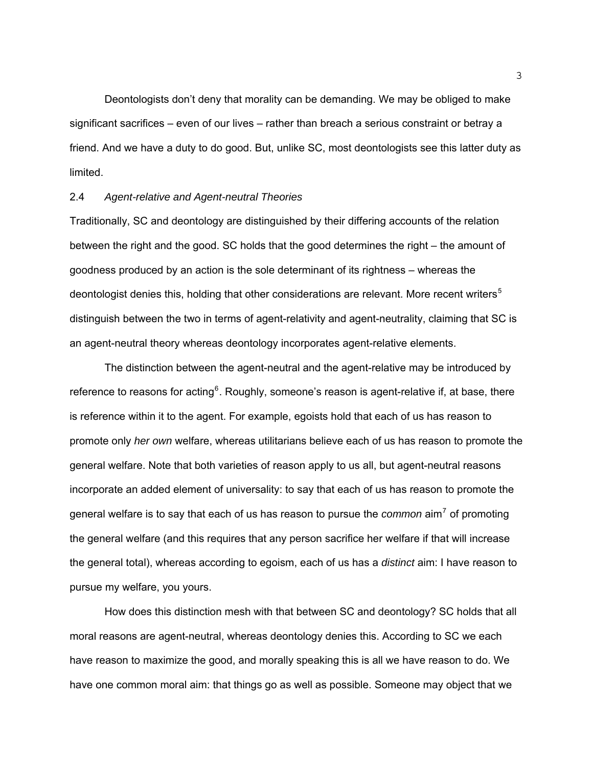Deontologists don't deny that morality can be demanding. We may be obliged to make significant sacrifices – even of our lives – rather than breach a serious constraint or betray a friend. And we have a duty to do good. But, unlike SC, most deontologists see this latter duty as limited.

# 2.4 *Agent-relative and Agent-neutral Theories*

Traditionally, SC and deontology are distinguished by their differing accounts of the relation between the right and the good. SC holds that the good determines the right – the amount of goodness produced by an action is the sole determinant of its rightness – whereas the deontologist denies this, holding that other considerations are relevant. More recent writers<sup>[5](#page-50-1)</sup> distinguish between the two in terms of agent-relativity and agent-neutrality, claiming that SC is an agent-neutral theory whereas deontology incorporates agent-relative elements.

The distinction between the agent-neutral and the agent-relative may be introduced by reference to reasons for acting<sup>[6](#page-50-1)</sup>. Roughly, someone's reason is agent-relative if, at base, there is reference within it to the agent. For example, egoists hold that each of us has reason to promote only *her own* welfare, whereas utilitarians believe each of us has reason to promote the general welfare. Note that both varieties of reason apply to us all, but agent-neutral reasons incorporate an added element of universality: to say that each of us has reason to promote the general welfare is to say that each of us has reason to pursue the *common* aim<sup>[7](#page-50-1)</sup> of promoting the general welfare (and this requires that any person sacrifice her welfare if that will increase the general total), whereas according to egoism, each of us has a *distinct* aim: I have reason to pursue my welfare, you yours.

How does this distinction mesh with that between SC and deontology? SC holds that all moral reasons are agent-neutral, whereas deontology denies this. According to SC we each have reason to maximize the good, and morally speaking this is all we have reason to do. We have one common moral aim: that things go as well as possible. Someone may object that we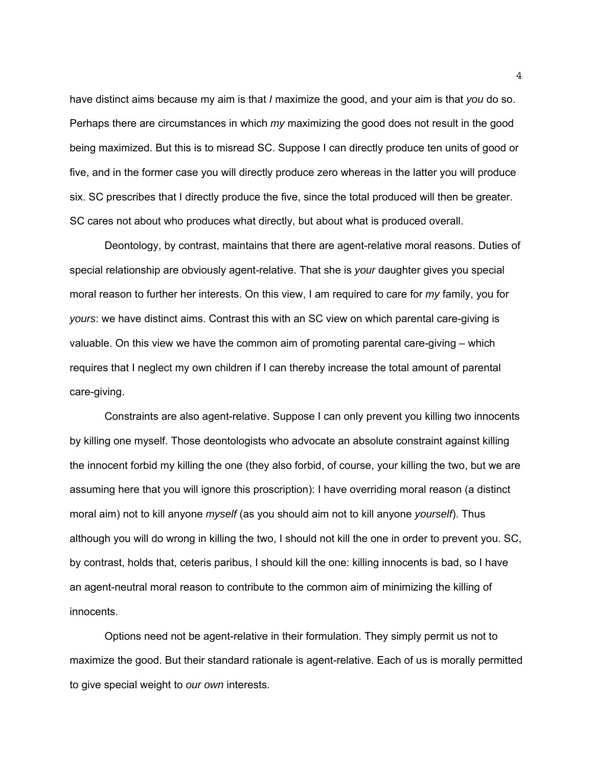have distinct aims because my aim is that *I* maximize the good, and your aim is that *you* do so. Perhaps there are circumstances in which *my* maximizing the good does not result in the good being maximized. But this is to misread SC. Suppose I can directly produce ten units of good or five, and in the former case you will directly produce zero whereas in the latter you will produce six. SC prescribes that I directly produce the five, since the total produced will then be greater. SC cares not about who produces what directly, but about what is produced overall.

Deontology, by contrast, maintains that there are agent-relative moral reasons. Duties of special relationship are obviously agent-relative. That she is *your* daughter gives you special moral reason to further her interests. On this view, I am required to care for *my* family, you for *yours*: we have distinct aims. Contrast this with an SC view on which parental care-giving is valuable. On this view we have the common aim of promoting parental care-giving – which requires that I neglect my own children if I can thereby increase the total amount of parental care-giving.

Constraints are also agent-relative. Suppose I can only prevent you killing two innocents by killing one myself. Those deontologists who advocate an absolute constraint against killing the innocent forbid my killing the one (they also forbid, of course, your killing the two, but we are assuming here that you will ignore this proscription): I have overriding moral reason (a distinct moral aim) not to kill anyone *myself* (as you should aim not to kill anyone *yourself*). Thus although you will do wrong in killing the two, I should not kill the one in order to prevent you. SC, by contrast, holds that, ceteris paribus, I should kill the one: killing innocents is bad, so I have an agent-neutral moral reason to contribute to the common aim of minimizing the killing of innocents.

Options need not be agent-relative in their formulation. They simply permit us not to maximize the good. But their standard rationale is agent-relative. Each of us is morally permitted to give special weight to *our own* interests.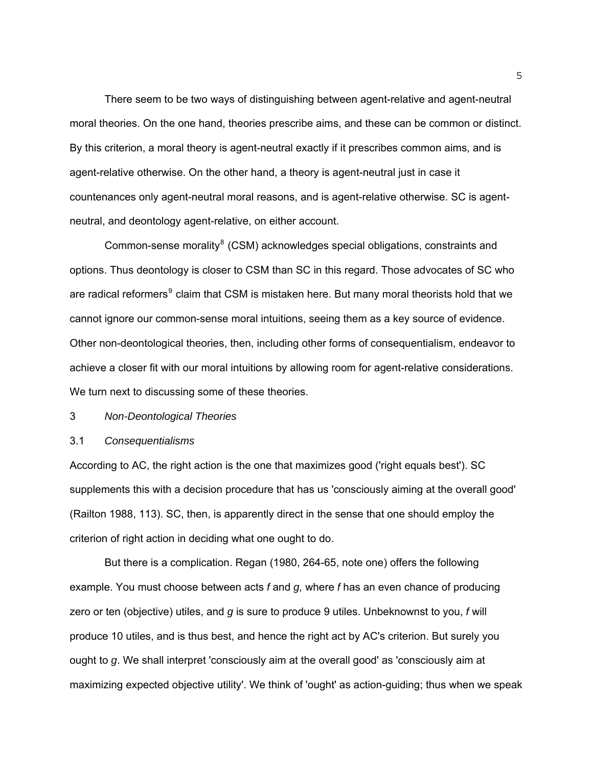There seem to be two ways of distinguishing between agent-relative and agent-neutral moral theories. On the one hand, theories prescribe aims, and these can be common or distinct. By this criterion, a moral theory is agent-neutral exactly if it prescribes common aims, and is agent-relative otherwise. On the other hand, a theory is agent-neutral just in case it countenances only agent-neutral moral reasons, and is agent-relative otherwise. SC is agentneutral, and deontology agent-relative, on either account.

Common-sense morality $^8$  $^8$  (CSM) acknowledges special obligations, constraints and options. Thus deontology is closer to CSM than SC in this regard. Those advocates of SC who are radical reformers $^9$  $^9$  claim that CSM is mistaken here. But many moral theorists hold that we cannot ignore our common-sense moral intuitions, seeing them as a key source of evidence. Other non-deontological theories, then, including other forms of consequentialism, endeavor to achieve a closer fit with our moral intuitions by allowing room for agent-relative considerations. We turn next to discussing some of these theories.

# 3 *Non-Deontological Theories*

#### 3.1 *Consequentialisms*

According to AC, the right action is the one that maximizes good ('right equals best'). SC supplements this with a decision procedure that has us 'consciously aiming at the overall good' (Railton 1988, 113). SC, then, is apparently direct in the sense that one should employ the criterion of right action in deciding what one ought to do.

But there is a complication. Regan (1980, 264-65, note one) offers the following example. You must choose between acts *f* and *g,* where *f* has an even chance of producing zero or ten (objective) utiles, and *g* is sure to produce 9 utiles. Unbeknownst to you, *f* will produce 10 utiles, and is thus best, and hence the right act by AC's criterion. But surely you ought to *g*. We shall interpret 'consciously aim at the overall good' as 'consciously aim at maximizing expected objective utility'. We think of 'ought' as action-guiding; thus when we speak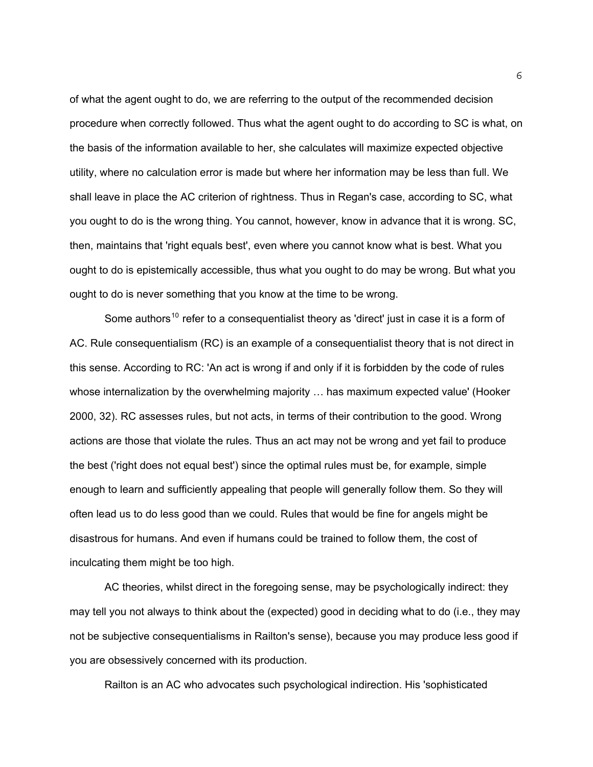of what the agent ought to do, we are referring to the output of the recommended decision procedure when correctly followed. Thus what the agent ought to do according to SC is what, on the basis of the information available to her, she calculates will maximize expected objective utility, where no calculation error is made but where her information may be less than full. We shall leave in place the AC criterion of rightness. Thus in Regan's case, according to SC, what you ought to do is the wrong thing. You cannot, however, know in advance that it is wrong. SC, then, maintains that 'right equals best', even where you cannot know what is best. What you ought to do is epistemically accessible, thus what you ought to do may be wrong. But what you ought to do is never something that you know at the time to be wrong.

Some authors<sup>[10](#page-50-1)</sup> refer to a consequentialist theory as 'direct' just in case it is a form of AC. Rule consequentialism (RC) is an example of a consequentialist theory that is not direct in this sense. According to RC: 'An act is wrong if and only if it is forbidden by the code of rules whose internalization by the overwhelming majority … has maximum expected value' (Hooker 2000, 32). RC assesses rules, but not acts, in terms of their contribution to the good. Wrong actions are those that violate the rules. Thus an act may not be wrong and yet fail to produce the best ('right does not equal best') since the optimal rules must be, for example, simple enough to learn and sufficiently appealing that people will generally follow them. So they will often lead us to do less good than we could. Rules that would be fine for angels might be disastrous for humans. And even if humans could be trained to follow them, the cost of inculcating them might be too high.

AC theories, whilst direct in the foregoing sense, may be psychologically indirect: they may tell you not always to think about the (expected) good in deciding what to do (i.e., they may not be subjective consequentialisms in Railton's sense), because you may produce less good if you are obsessively concerned with its production.

Railton is an AC who advocates such psychological indirection. His 'sophisticated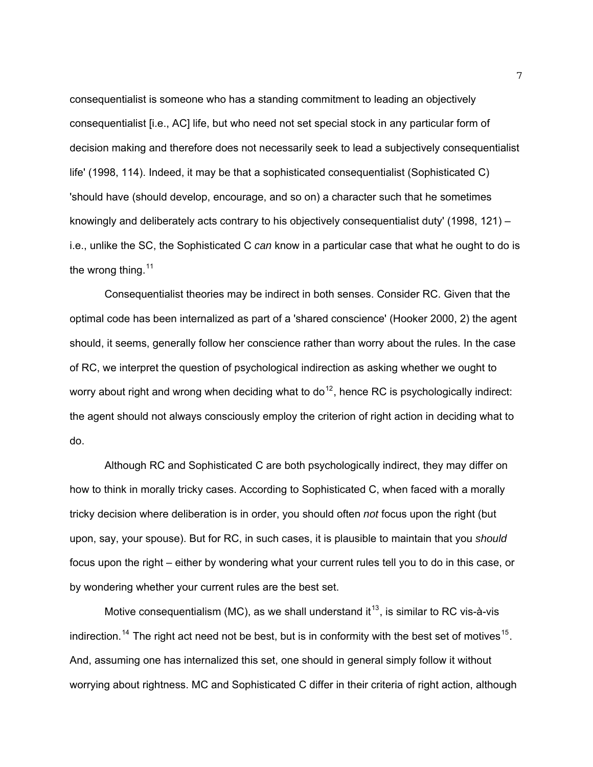consequentialist is someone who has a standing commitment to leading an objectively consequentialist [i.e., AC] life, but who need not set special stock in any particular form of decision making and therefore does not necessarily seek to lead a subjectively consequentialist life' (1998, 114). Indeed, it may be that a sophisticated consequentialist (Sophisticated C) 'should have (should develop, encourage, and so on) a character such that he sometimes knowingly and deliberately acts contrary to his objectively consequentialist duty' (1998, 121) – i.e., unlike the SC, the Sophisticated C *can* know in a particular case that what he ought to do is the wrong thing.  $11$ 

Consequentialist theories may be indirect in both senses. Consider RC. Given that the optimal code has been internalized as part of a 'shared conscience' (Hooker 2000, 2) the agent should, it seems, generally follow her conscience rather than worry about the rules. In the case of RC, we interpret the question of psychological indirection as asking whether we ought to worry about right and wrong when deciding what to  $d\sigma^{12}$  $d\sigma^{12}$  $d\sigma^{12}$ , hence RC is psychologically indirect: the agent should not always consciously employ the criterion of right action in deciding what to do.

Although RC and Sophisticated C are both psychologically indirect, they may differ on how to think in morally tricky cases. According to Sophisticated C, when faced with a morally tricky decision where deliberation is in order, you should often *not* focus upon the right (but upon, say, your spouse). But for RC, in such cases, it is plausible to maintain that you *should* focus upon the right – either by wondering what your current rules tell you to do in this case, or by wondering whether your current rules are the best set.

Motive consequentialism (MC), as we shall understand it<sup>[13](#page-50-1)</sup>, is similar to RC vis-à-vis indirection.<sup>[14](#page-50-1)</sup> The right act need not be best, but is in conformity with the best set of motives<sup>[15](#page-50-1)</sup>. And, assuming one has internalized this set, one should in general simply follow it without worrying about rightness. MC and Sophisticated C differ in their criteria of right action, although

7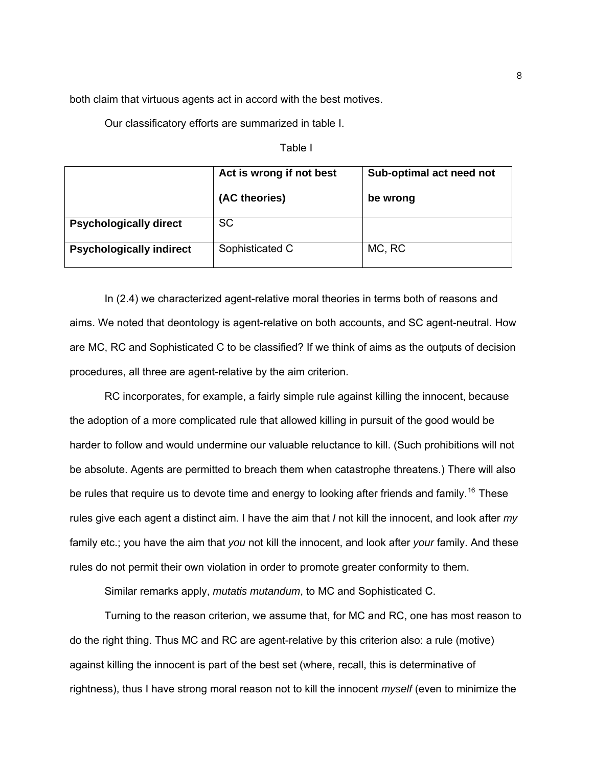both claim that virtuous agents act in accord with the best motives.

Our classificatory efforts are summarized in table I.

#### Table I

|                                 | Act is wrong if not best<br>(AC theories) | Sub-optimal act need not<br>be wrong |
|---------------------------------|-------------------------------------------|--------------------------------------|
| <b>Psychologically direct</b>   | <b>SC</b>                                 |                                      |
| <b>Psychologically indirect</b> | Sophisticated C                           | MC, RC                               |

In (2.4) we characterized agent-relative moral theories in terms both of reasons and aims. We noted that deontology is agent-relative on both accounts, and SC agent-neutral. How are MC, RC and Sophisticated C to be classified? If we think of aims as the outputs of decision procedures, all three are agent-relative by the aim criterion.

RC incorporates, for example, a fairly simple rule against killing the innocent, because the adoption of a more complicated rule that allowed killing in pursuit of the good would be harder to follow and would undermine our valuable reluctance to kill. (Such prohibitions will not be absolute. Agents are permitted to breach them when catastrophe threatens.) There will also be rules that require us to devote time and energy to looking after friends and family.<sup>[16](#page-50-1)</sup> These rules give each agent a distinct aim. I have the aim that *I* not kill the innocent, and look after *my* family etc.; you have the aim that *you* not kill the innocent, and look after *your* family. And these rules do not permit their own violation in order to promote greater conformity to them.

Similar remarks apply, *mutatis mutandum*, to MC and Sophisticated C.

Turning to the reason criterion, we assume that, for MC and RC, one has most reason to do the right thing. Thus MC and RC are agent-relative by this criterion also: a rule (motive) against killing the innocent is part of the best set (where, recall, this is determinative of rightness), thus I have strong moral reason not to kill the innocent *myself* (even to minimize the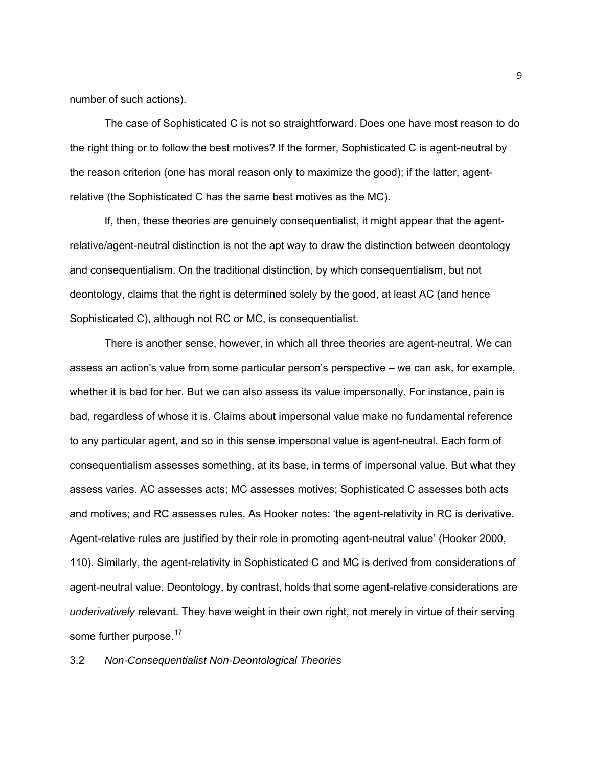number of such actions).

The case of Sophisticated C is not so straightforward. Does one have most reason to do the right thing or to follow the best motives? If the former, Sophisticated C is agent-neutral by the reason criterion (one has moral reason only to maximize the good); if the latter, agentrelative (the Sophisticated C has the same best motives as the MC).

If, then, these theories are genuinely consequentialist, it might appear that the agentrelative/agent-neutral distinction is not the apt way to draw the distinction between deontology and consequentialism. On the traditional distinction, by which consequentialism, but not deontology, claims that the right is determined solely by the good, at least AC (and hence Sophisticated C), although not RC or MC, is consequentialist.

There is another sense, however, in which all three theories are agent-neutral. We can assess an action's value from some particular person's perspective – we can ask, for example, whether it is bad for her. But we can also assess its value impersonally. For instance, pain is bad, regardless of whose it is. Claims about impersonal value make no fundamental reference to any particular agent, and so in this sense impersonal value is agent-neutral. Each form of consequentialism assesses something, at its base, in terms of impersonal value. But what they assess varies. AC assesses acts; MC assesses motives; Sophisticated C assesses both acts and motives; and RC assesses rules. As Hooker notes: 'the agent-relativity in RC is derivative. Agent-relative rules are justified by their role in promoting agent-neutral value' (Hooker 2000, 110). Similarly, the agent-relativity in Sophisticated C and MC is derived from considerations of agent-neutral value. Deontology, by contrast, holds that some agent-relative considerations are *underivatively* relevant. They have weight in their own right, not merely in virtue of their serving some further purpose.<sup>[17](#page-50-1)</sup>

3.2 *Non-Consequentialist Non-Deontological Theories*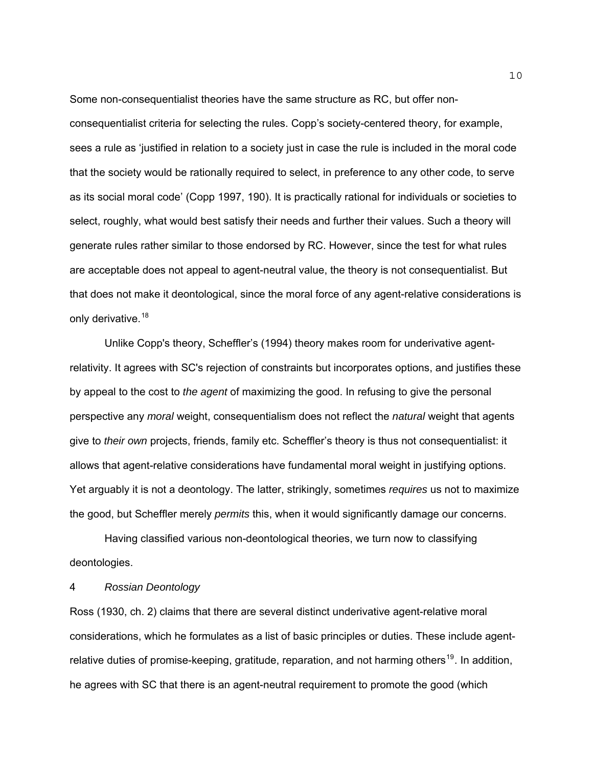Some non-consequentialist theories have the same structure as RC, but offer non-

consequentialist criteria for selecting the rules. Copp's society-centered theory, for example, sees a rule as 'justified in relation to a society just in case the rule is included in the moral code that the society would be rationally required to select, in preference to any other code, to serve as its social moral code' (Copp 1997, 190). It is practically rational for individuals or societies to select, roughly, what would best satisfy their needs and further their values. Such a theory will generate rules rather similar to those endorsed by RC. However, since the test for what rules are acceptable does not appeal to agent-neutral value, the theory is not consequentialist. But that does not make it deontological, since the moral force of any agent-relative considerations is only derivative.<sup>[18](#page-50-1)</sup>

Unlike Copp's theory, Scheffler's (1994) theory makes room for underivative agentrelativity. It agrees with SC's rejection of constraints but incorporates options, and justifies these by appeal to the cost to *the agent* of maximizing the good. In refusing to give the personal perspective any *moral* weight, consequentialism does not reflect the *natural* weight that agents give to *their own* projects, friends, family etc. Scheffler's theory is thus not consequentialist: it allows that agent-relative considerations have fundamental moral weight in justifying options. Yet arguably it is not a deontology. The latter, strikingly, sometimes *requires* us not to maximize the good, but Scheffler merely *permits* this, when it would significantly damage our concerns.

Having classified various non-deontological theories, we turn now to classifying deontologies.

# 4 *Rossian Deontology*

Ross (1930, ch. 2) claims that there are several distinct underivative agent-relative moral considerations, which he formulates as a list of basic principles or duties. These include agent-relative duties of promise-keeping, gratitude, reparation, and not harming others<sup>[19](#page-50-1)</sup>. In addition, he agrees with SC that there is an agent-neutral requirement to promote the good (which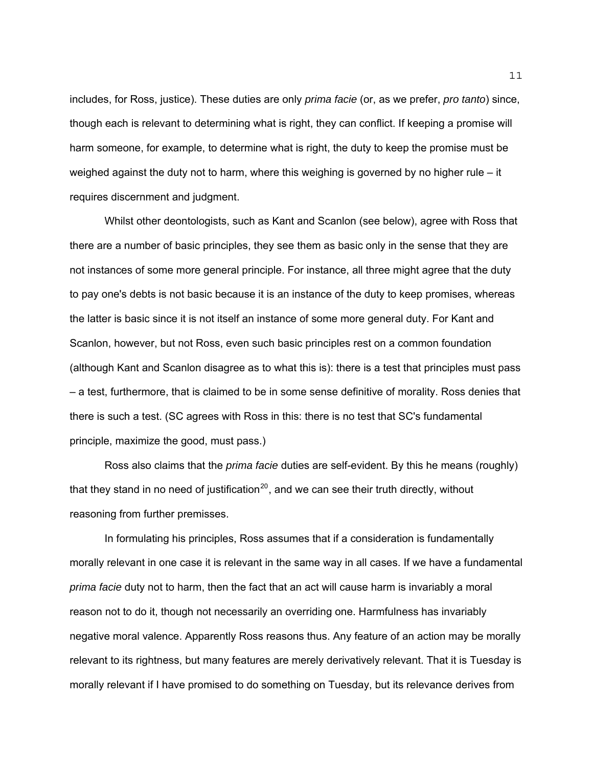includes, for Ross, justice). These duties are only *prima facie* (or, as we prefer, *pro tanto*) since, though each is relevant to determining what is right, they can conflict. If keeping a promise will harm someone, for example, to determine what is right, the duty to keep the promise must be weighed against the duty not to harm, where this weighing is governed by no higher rule – it requires discernment and judgment.

 Whilst other deontologists, such as Kant and Scanlon (see below), agree with Ross that there are a number of basic principles, they see them as basic only in the sense that they are not instances of some more general principle. For instance, all three might agree that the duty to pay one's debts is not basic because it is an instance of the duty to keep promises, whereas the latter is basic since it is not itself an instance of some more general duty. For Kant and Scanlon, however, but not Ross, even such basic principles rest on a common foundation (although Kant and Scanlon disagree as to what this is): there is a test that principles must pass – a test, furthermore, that is claimed to be in some sense definitive of morality. Ross denies that there is such a test. (SC agrees with Ross in this: there is no test that SC's fundamental principle, maximize the good, must pass.)

 Ross also claims that the *prima facie* duties are self-evident. By this he means (roughly) that they stand in no need of justification<sup>[20](#page-50-1)</sup>, and we can see their truth directly, without reasoning from further premisses.

In formulating his principles, Ross assumes that if a consideration is fundamentally morally relevant in one case it is relevant in the same way in all cases. If we have a fundamental *prima facie* duty not to harm, then the fact that an act will cause harm is invariably a moral reason not to do it, though not necessarily an overriding one. Harmfulness has invariably negative moral valence. Apparently Ross reasons thus. Any feature of an action may be morally relevant to its rightness, but many features are merely derivatively relevant. That it is Tuesday is morally relevant if I have promised to do something on Tuesday, but its relevance derives from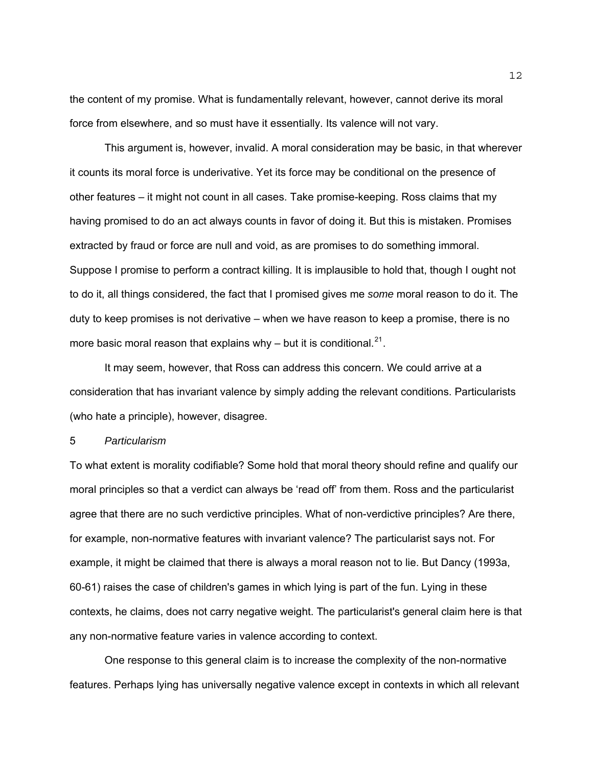the content of my promise. What is fundamentally relevant, however, cannot derive its moral force from elsewhere, and so must have it essentially. Its valence will not vary.

This argument is, however, invalid. A moral consideration may be basic, in that wherever it counts its moral force is underivative. Yet its force may be conditional on the presence of other features – it might not count in all cases. Take promise-keeping. Ross claims that my having promised to do an act always counts in favor of doing it. But this is mistaken. Promises extracted by fraud or force are null and void, as are promises to do something immoral. Suppose I promise to perform a contract killing. It is implausible to hold that, though I ought not to do it, all things considered, the fact that I promised gives me *some* moral reason to do it. The duty to keep promises is not derivative – when we have reason to keep a promise, there is no more basic moral reason that explains why – but it is conditional. $^{21}$  $^{21}$  $^{21}$ .

It may seem, however, that Ross can address this concern. We could arrive at a consideration that has invariant valence by simply adding the relevant conditions. Particularists (who hate a principle), however, disagree.

#### 5 *Particularism*

To what extent is morality codifiable? Some hold that moral theory should refine and qualify our moral principles so that a verdict can always be 'read off' from them. Ross and the particularist agree that there are no such verdictive principles. What of non-verdictive principles? Are there, for example, non-normative features with invariant valence? The particularist says not. For example, it might be claimed that there is always a moral reason not to lie. But Dancy (1993a, 60-61) raises the case of children's games in which lying is part of the fun. Lying in these contexts, he claims, does not carry negative weight. The particularist's general claim here is that any non-normative feature varies in valence according to context.

One response to this general claim is to increase the complexity of the non-normative features. Perhaps lying has universally negative valence except in contexts in which all relevant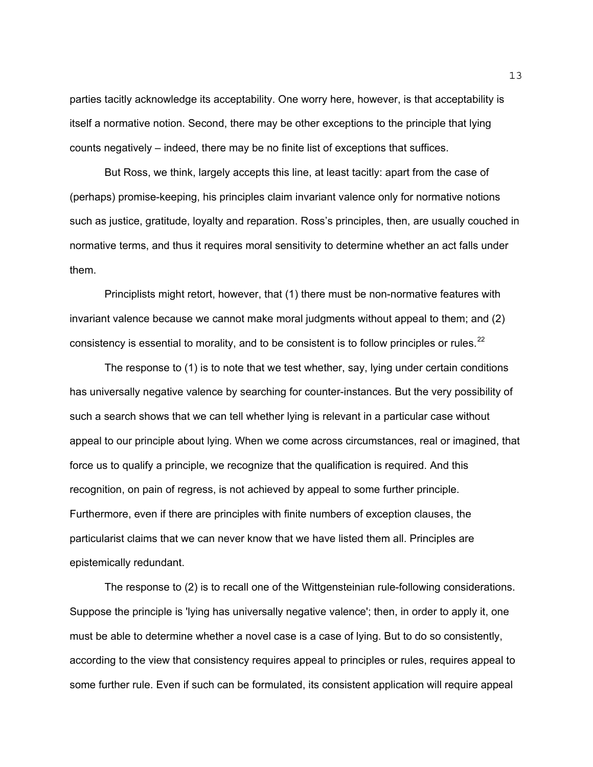parties tacitly acknowledge its acceptability. One worry here, however, is that acceptability is itself a normative notion. Second, there may be other exceptions to the principle that lying counts negatively – indeed, there may be no finite list of exceptions that suffices.

But Ross, we think, largely accepts this line, at least tacitly: apart from the case of (perhaps) promise-keeping, his principles claim invariant valence only for normative notions such as justice, gratitude, loyalty and reparation. Ross's principles, then, are usually couched in normative terms, and thus it requires moral sensitivity to determine whether an act falls under them.

Principlists might retort, however, that (1) there must be non-normative features with invariant valence because we cannot make moral judgments without appeal to them; and (2) consistency is essential to morality, and to be consistent is to follow principles or rules.<sup>[22](#page-50-1)</sup>

The response to (1) is to note that we test whether, say, lying under certain conditions has universally negative valence by searching for counter-instances. But the very possibility of such a search shows that we can tell whether lying is relevant in a particular case without appeal to our principle about lying. When we come across circumstances, real or imagined, that force us to qualify a principle, we recognize that the qualification is required. And this recognition, on pain of regress, is not achieved by appeal to some further principle. Furthermore, even if there are principles with finite numbers of exception clauses, the particularist claims that we can never know that we have listed them all. Principles are epistemically redundant.

The response to (2) is to recall one of the Wittgensteinian rule-following considerations. Suppose the principle is 'lying has universally negative valence'; then, in order to apply it, one must be able to determine whether a novel case is a case of lying. But to do so consistently, according to the view that consistency requires appeal to principles or rules, requires appeal to some further rule. Even if such can be formulated, its consistent application will require appeal

13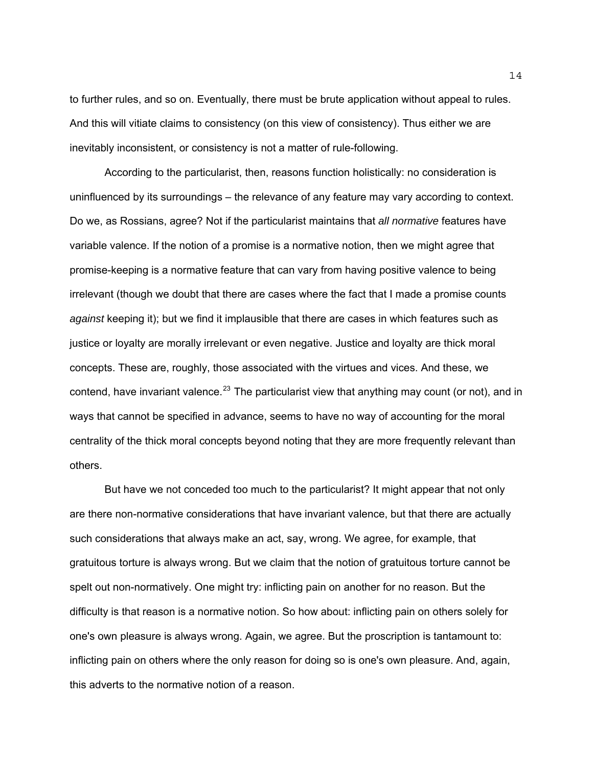to further rules, and so on. Eventually, there must be brute application without appeal to rules. And this will vitiate claims to consistency (on this view of consistency). Thus either we are inevitably inconsistent, or consistency is not a matter of rule-following.

 According to the particularist, then, reasons function holistically: no consideration is uninfluenced by its surroundings – the relevance of any feature may vary according to context. Do we, as Rossians, agree? Not if the particularist maintains that *all normative* features have variable valence. If the notion of a promise is a normative notion, then we might agree that promise-keeping is a normative feature that can vary from having positive valence to being irrelevant (though we doubt that there are cases where the fact that I made a promise counts *against* keeping it); but we find it implausible that there are cases in which features such as justice or loyalty are morally irrelevant or even negative. Justice and loyalty are thick moral concepts. These are, roughly, those associated with the virtues and vices. And these, we contend, have invariant valence.<sup>[23](#page-50-1)</sup> The particularist view that anything may count (or not), and in ways that cannot be specified in advance, seems to have no way of accounting for the moral centrality of the thick moral concepts beyond noting that they are more frequently relevant than others.

But have we not conceded too much to the particularist? It might appear that not only are there non-normative considerations that have invariant valence, but that there are actually such considerations that always make an act, say, wrong. We agree, for example, that gratuitous torture is always wrong. But we claim that the notion of gratuitous torture cannot be spelt out non-normatively. One might try: inflicting pain on another for no reason. But the difficulty is that reason is a normative notion. So how about: inflicting pain on others solely for one's own pleasure is always wrong. Again, we agree. But the proscription is tantamount to: inflicting pain on others where the only reason for doing so is one's own pleasure. And, again, this adverts to the normative notion of a reason.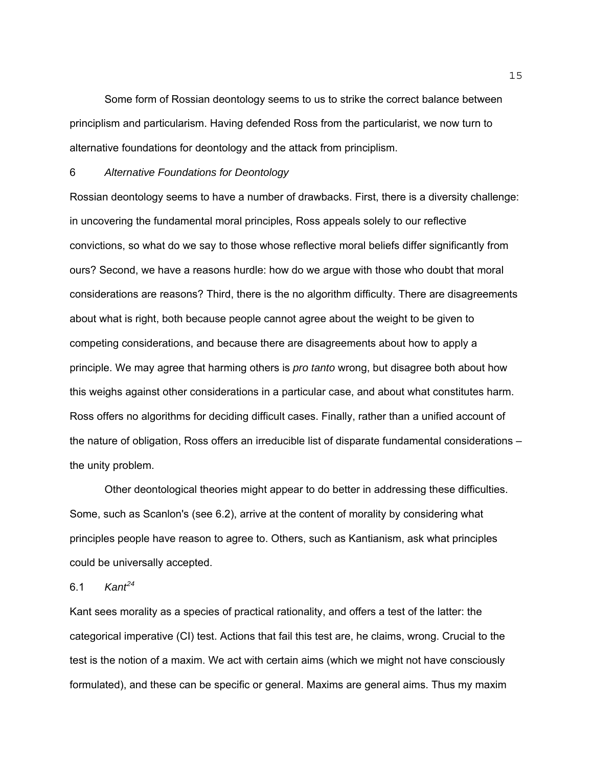Some form of Rossian deontology seems to us to strike the correct balance between principlism and particularism. Having defended Ross from the particularist, we now turn to alternative foundations for deontology and the attack from principlism.

# 6 *Alternative Foundations for Deontology*

Rossian deontology seems to have a number of drawbacks. First, there is a diversity challenge: in uncovering the fundamental moral principles, Ross appeals solely to our reflective convictions, so what do we say to those whose reflective moral beliefs differ significantly from ours? Second, we have a reasons hurdle: how do we argue with those who doubt that moral considerations are reasons? Third, there is the no algorithm difficulty. There are disagreements about what is right, both because people cannot agree about the weight to be given to competing considerations, and because there are disagreements about how to apply a principle. We may agree that harming others is *pro tanto* wrong, but disagree both about how this weighs against other considerations in a particular case, and about what constitutes harm. Ross offers no algorithms for deciding difficult cases. Finally, rather than a unified account of the nature of obligation, Ross offers an irreducible list of disparate fundamental considerations – the unity problem.

 Other deontological theories might appear to do better in addressing these difficulties. Some, such as Scanlon's (see 6.2), arrive at the content of morality by considering what principles people have reason to agree to. Others, such as Kantianism, ask what principles could be universally accepted.

# 6.1 *Kant[24](#page-50-1)*

Kant sees morality as a species of practical rationality, and offers a test of the latter: the categorical imperative (CI) test. Actions that fail this test are, he claims, wrong. Crucial to the test is the notion of a maxim. We act with certain aims (which we might not have consciously formulated), and these can be specific or general. Maxims are general aims. Thus my maxim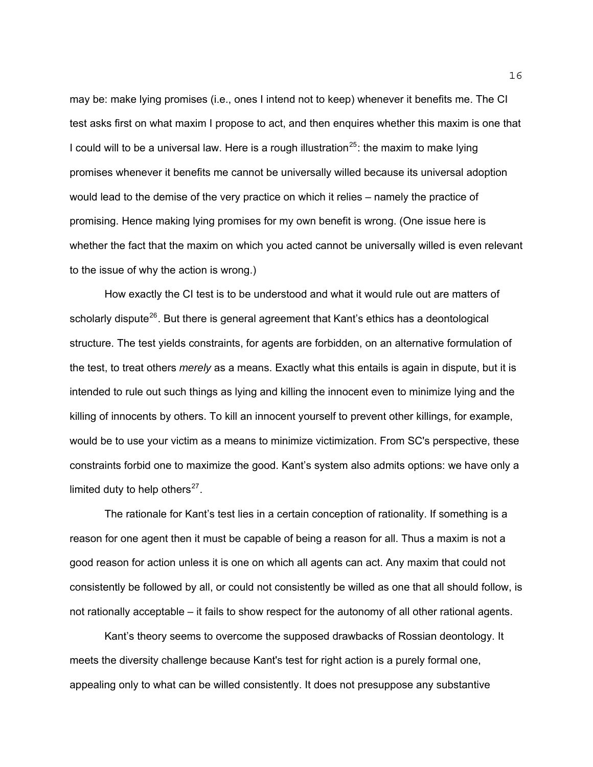may be: make lying promises (i.e., ones I intend not to keep) whenever it benefits me. The CI test asks first on what maxim I propose to act, and then enquires whether this maxim is one that I could will to be a universal law. Here is a rough illustration<sup>[25](#page-50-1)</sup>: the maxim to make lying promises whenever it benefits me cannot be universally willed because its universal adoption would lead to the demise of the very practice on which it relies – namely the practice of promising. Hence making lying promises for my own benefit is wrong. (One issue here is whether the fact that the maxim on which you acted cannot be universally willed is even relevant to the issue of why the action is wrong.)

How exactly the CI test is to be understood and what it would rule out are matters of scholarly dispute<sup>[26](#page-50-1)</sup>. But there is general agreement that Kant's ethics has a deontological structure. The test yields constraints, for agents are forbidden, on an alternative formulation of the test, to treat others *merely* as a means. Exactly what this entails is again in dispute, but it is intended to rule out such things as lying and killing the innocent even to minimize lying and the killing of innocents by others. To kill an innocent yourself to prevent other killings, for example, would be to use your victim as a means to minimize victimization. From SC's perspective, these constraints forbid one to maximize the good. Kant's system also admits options: we have only a limited duty to help others $27$ .

 The rationale for Kant's test lies in a certain conception of rationality. If something is a reason for one agent then it must be capable of being a reason for all. Thus a maxim is not a good reason for action unless it is one on which all agents can act. Any maxim that could not consistently be followed by all, or could not consistently be willed as one that all should follow, is not rationally acceptable – it fails to show respect for the autonomy of all other rational agents.

Kant's theory seems to overcome the supposed drawbacks of Rossian deontology. It meets the diversity challenge because Kant's test for right action is a purely formal one, appealing only to what can be willed consistently. It does not presuppose any substantive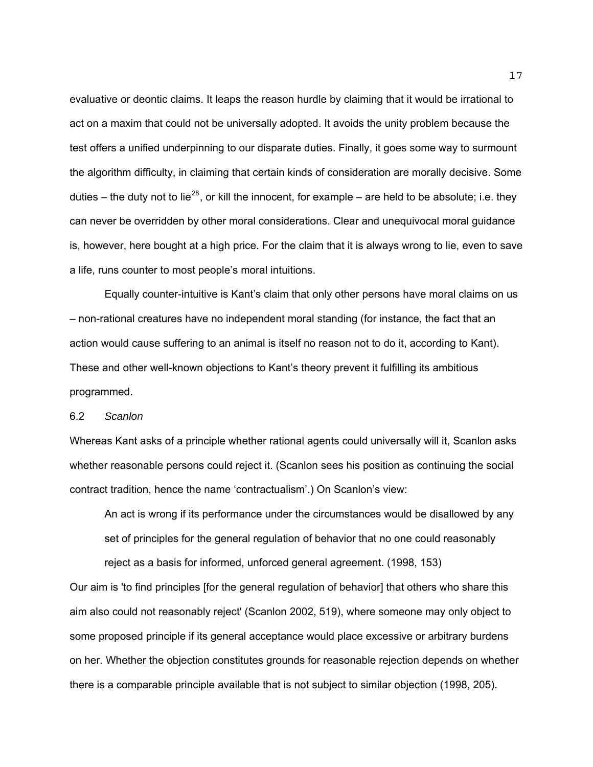evaluative or deontic claims. It leaps the reason hurdle by claiming that it would be irrational to act on a maxim that could not be universally adopted. It avoids the unity problem because the test offers a unified underpinning to our disparate duties. Finally, it goes some way to surmount the algorithm difficulty, in claiming that certain kinds of consideration are morally decisive. Some duties – the duty not to lie<sup>[28](#page-50-1)</sup>, or kill the innocent, for example – are held to be absolute; i.e. they can never be overridden by other moral considerations. Clear and unequivocal moral guidance is, however, here bought at a high price. For the claim that it is always wrong to lie, even to save a life, runs counter to most people's moral intuitions.

Equally counter-intuitive is Kant's claim that only other persons have moral claims on us – non-rational creatures have no independent moral standing (for instance, the fact that an action would cause suffering to an animal is itself no reason not to do it, according to Kant). These and other well-known objections to Kant's theory prevent it fulfilling its ambitious programmed.

6.2 *Scanlon*

Whereas Kant asks of a principle whether rational agents could universally will it, Scanlon asks whether reasonable persons could reject it. (Scanlon sees his position as continuing the social contract tradition, hence the name 'contractualism'.) On Scanlon's view:

An act is wrong if its performance under the circumstances would be disallowed by any set of principles for the general regulation of behavior that no one could reasonably reject as a basis for informed, unforced general agreement. (1998, 153)

Our aim is 'to find principles [for the general regulation of behavior] that others who share this aim also could not reasonably reject' (Scanlon 2002, 519), where someone may only object to some proposed principle if its general acceptance would place excessive or arbitrary burdens on her. Whether the objection constitutes grounds for reasonable rejection depends on whether there is a comparable principle available that is not subject to similar objection (1998, 205).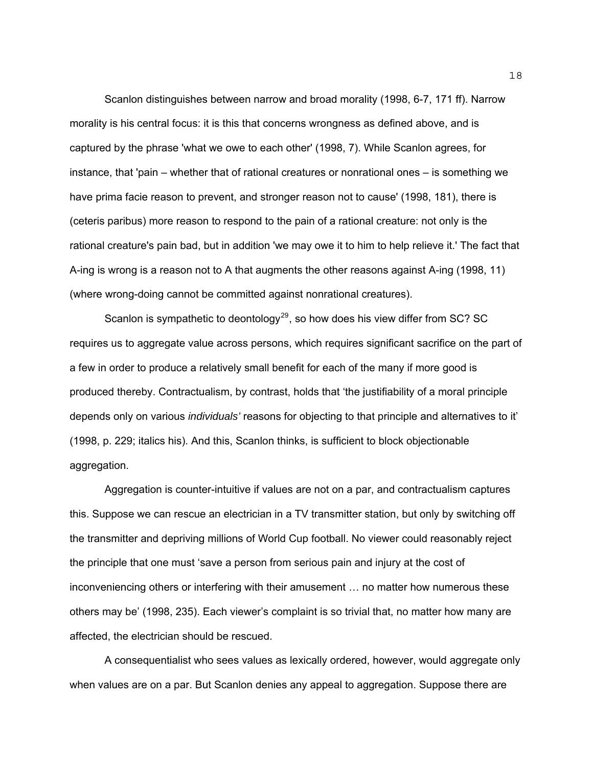Scanlon distinguishes between narrow and broad morality (1998, 6-7, 171 ff). Narrow morality is his central focus: it is this that concerns wrongness as defined above, and is captured by the phrase 'what we owe to each other' (1998, 7). While Scanlon agrees, for instance, that 'pain – whether that of rational creatures or nonrational ones – is something we have prima facie reason to prevent, and stronger reason not to cause' (1998, 181), there is (ceteris paribus) more reason to respond to the pain of a rational creature: not only is the rational creature's pain bad, but in addition 'we may owe it to him to help relieve it.' The fact that A-ing is wrong is a reason not to A that augments the other reasons against A-ing (1998, 11) (where wrong-doing cannot be committed against nonrational creatures).

Scanlon is sympathetic to deontology<sup>[29](#page-50-1)</sup>, so how does his view differ from SC? SC requires us to aggregate value across persons, which requires significant sacrifice on the part of a few in order to produce a relatively small benefit for each of the many if more good is produced thereby. Contractualism, by contrast, holds that 'the justifiability of a moral principle depends only on various *individuals'* reasons for objecting to that principle and alternatives to it' (1998, p. 229; italics his). And this, Scanlon thinks, is sufficient to block objectionable aggregation.

Aggregation is counter-intuitive if values are not on a par, and contractualism captures this. Suppose we can rescue an electrician in a TV transmitter station, but only by switching off the transmitter and depriving millions of World Cup football. No viewer could reasonably reject the principle that one must 'save a person from serious pain and injury at the cost of inconveniencing others or interfering with their amusement … no matter how numerous these others may be' (1998, 235). Each viewer's complaint is so trivial that, no matter how many are affected, the electrician should be rescued.

A consequentialist who sees values as lexically ordered, however, would aggregate only when values are on a par. But Scanlon denies any appeal to aggregation. Suppose there are

18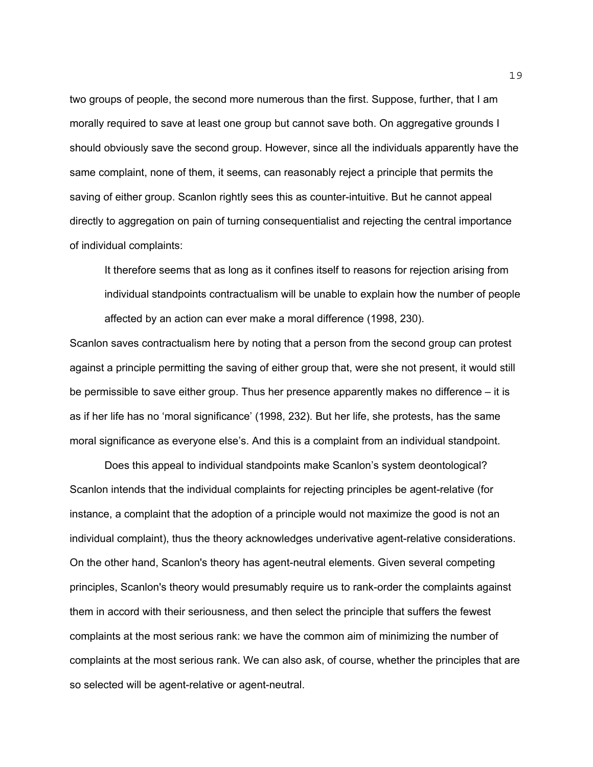two groups of people, the second more numerous than the first. Suppose, further, that I am morally required to save at least one group but cannot save both. On aggregative grounds I should obviously save the second group. However, since all the individuals apparently have the same complaint, none of them, it seems, can reasonably reject a principle that permits the saving of either group. Scanlon rightly sees this as counter-intuitive. But he cannot appeal directly to aggregation on pain of turning consequentialist and rejecting the central importance of individual complaints:

It therefore seems that as long as it confines itself to reasons for rejection arising from individual standpoints contractualism will be unable to explain how the number of people affected by an action can ever make a moral difference (1998, 230).

Scanlon saves contractualism here by noting that a person from the second group can protest against a principle permitting the saving of either group that, were she not present, it would still be permissible to save either group. Thus her presence apparently makes no difference – it is as if her life has no 'moral significance' (1998, 232). But her life, she protests, has the same moral significance as everyone else's. And this is a complaint from an individual standpoint.

Does this appeal to individual standpoints make Scanlon's system deontological? Scanlon intends that the individual complaints for rejecting principles be agent-relative (for instance, a complaint that the adoption of a principle would not maximize the good is not an individual complaint), thus the theory acknowledges underivative agent-relative considerations. On the other hand, Scanlon's theory has agent-neutral elements. Given several competing principles, Scanlon's theory would presumably require us to rank-order the complaints against them in accord with their seriousness, and then select the principle that suffers the fewest complaints at the most serious rank: we have the common aim of minimizing the number of complaints at the most serious rank. We can also ask, of course, whether the principles that are so selected will be agent-relative or agent-neutral.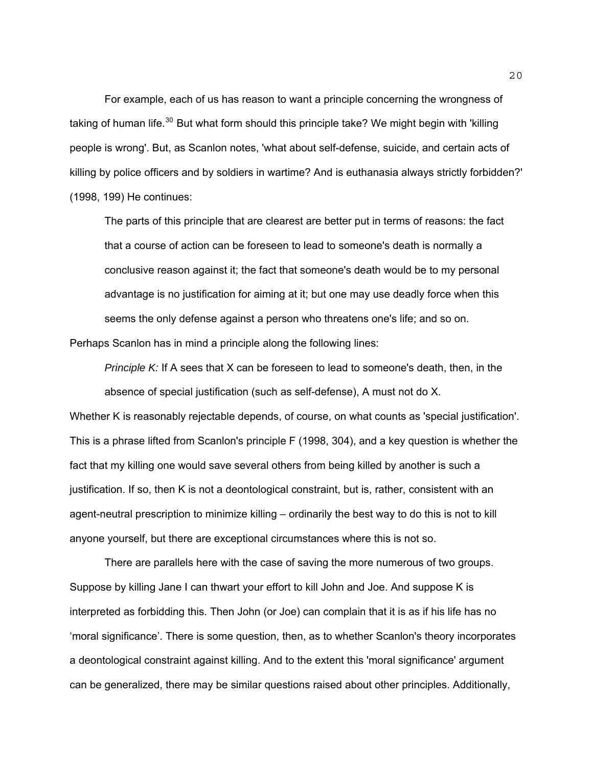For example, each of us has reason to want a principle concerning the wrongness of taking of human life.<sup>[30](#page-50-1)</sup> But what form should this principle take? We might begin with 'killing people is wrong'. But, as Scanlon notes, 'what about self-defense, suicide, and certain acts of killing by police officers and by soldiers in wartime? And is euthanasia always strictly forbidden?' (1998, 199) He continues:

The parts of this principle that are clearest are better put in terms of reasons: the fact that a course of action can be foreseen to lead to someone's death is normally a conclusive reason against it; the fact that someone's death would be to my personal advantage is no justification for aiming at it; but one may use deadly force when this seems the only defense against a person who threatens one's life; and so on.

Perhaps Scanlon has in mind a principle along the following lines:

*Principle K:* If A sees that X can be foreseen to lead to someone's death, then, in the absence of special justification (such as self-defense), A must not do X.

Whether K is reasonably rejectable depends, of course, on what counts as 'special justification'. This is a phrase lifted from Scanlon's principle F (1998, 304), and a key question is whether the fact that my killing one would save several others from being killed by another is such a justification. If so, then K is not a deontological constraint, but is, rather, consistent with an agent-neutral prescription to minimize killing – ordinarily the best way to do this is not to kill anyone yourself, but there are exceptional circumstances where this is not so.

 There are parallels here with the case of saving the more numerous of two groups. Suppose by killing Jane I can thwart your effort to kill John and Joe. And suppose K is interpreted as forbidding this. Then John (or Joe) can complain that it is as if his life has no 'moral significance'. There is some question, then, as to whether Scanlon's theory incorporates a deontological constraint against killing. And to the extent this 'moral significance' argument can be generalized, there may be similar questions raised about other principles. Additionally,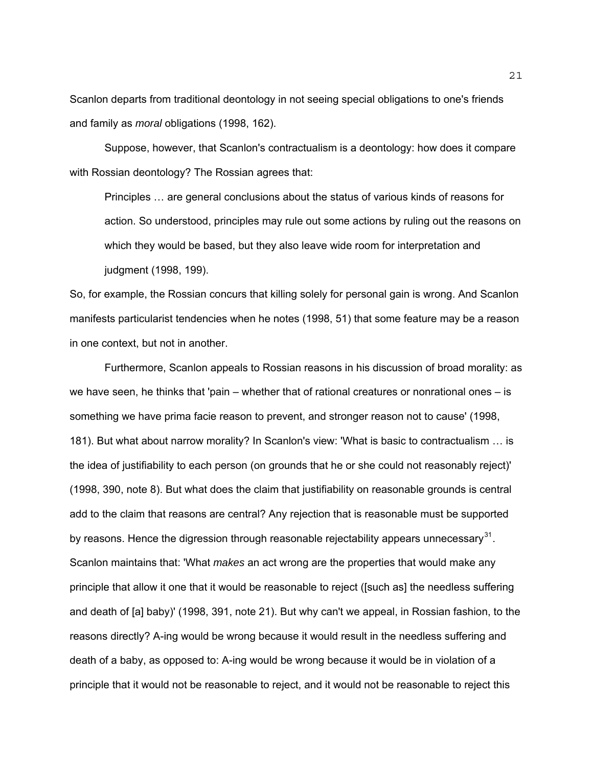Scanlon departs from traditional deontology in not seeing special obligations to one's friends and family as *moral* obligations (1998, 162).

Suppose, however, that Scanlon's contractualism is a deontology: how does it compare with Rossian deontology? The Rossian agrees that:

Principles … are general conclusions about the status of various kinds of reasons for action. So understood, principles may rule out some actions by ruling out the reasons on which they would be based, but they also leave wide room for interpretation and judgment (1998, 199).

So, for example, the Rossian concurs that killing solely for personal gain is wrong. And Scanlon manifests particularist tendencies when he notes (1998, 51) that some feature may be a reason in one context, but not in another.

Furthermore, Scanlon appeals to Rossian reasons in his discussion of broad morality: as we have seen, he thinks that 'pain – whether that of rational creatures or nonrational ones – is something we have prima facie reason to prevent, and stronger reason not to cause' (1998, 181). But what about narrow morality? In Scanlon's view: 'What is basic to contractualism … is the idea of justifiability to each person (on grounds that he or she could not reasonably reject)' (1998, 390, note 8). But what does the claim that justifiability on reasonable grounds is central add to the claim that reasons are central? Any rejection that is reasonable must be supported by reasons. Hence the digression through reasonable rejectability appears unnecessary $^{31}$  $^{31}$  $^{31}$ . Scanlon maintains that: 'What *makes* an act wrong are the properties that would make any principle that allow it one that it would be reasonable to reject ([such as] the needless suffering and death of [a] baby)' (1998, 391, note 21). But why can't we appeal, in Rossian fashion, to the reasons directly? A-ing would be wrong because it would result in the needless suffering and death of a baby, as opposed to: A-ing would be wrong because it would be in violation of a principle that it would not be reasonable to reject, and it would not be reasonable to reject this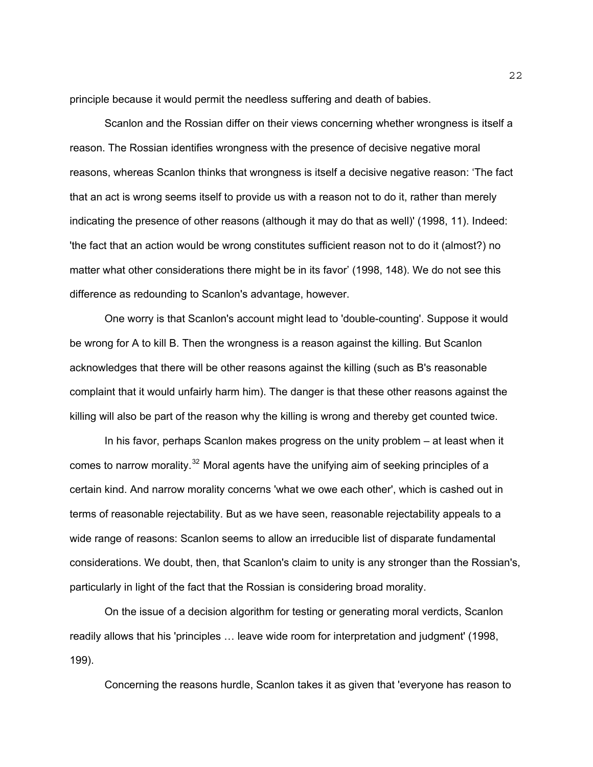principle because it would permit the needless suffering and death of babies.

 Scanlon and the Rossian differ on their views concerning whether wrongness is itself a reason. The Rossian identifies wrongness with the presence of decisive negative moral reasons, whereas Scanlon thinks that wrongness is itself a decisive negative reason: 'The fact that an act is wrong seems itself to provide us with a reason not to do it, rather than merely indicating the presence of other reasons (although it may do that as well)' (1998, 11). Indeed: 'the fact that an action would be wrong constitutes sufficient reason not to do it (almost?) no matter what other considerations there might be in its favor' (1998, 148). We do not see this difference as redounding to Scanlon's advantage, however.

One worry is that Scanlon's account might lead to 'double-counting'. Suppose it would be wrong for A to kill B. Then the wrongness is a reason against the killing. But Scanlon acknowledges that there will be other reasons against the killing (such as B's reasonable complaint that it would unfairly harm him). The danger is that these other reasons against the killing will also be part of the reason why the killing is wrong and thereby get counted twice.

In his favor, perhaps Scanlon makes progress on the unity problem – at least when it comes to narrow morality.<sup>[32](#page-50-1)</sup> Moral agents have the unifying aim of seeking principles of a certain kind. And narrow morality concerns 'what we owe each other', which is cashed out in terms of reasonable rejectability. But as we have seen, reasonable rejectability appeals to a wide range of reasons: Scanlon seems to allow an irreducible list of disparate fundamental considerations. We doubt, then, that Scanlon's claim to unity is any stronger than the Rossian's, particularly in light of the fact that the Rossian is considering broad morality.

On the issue of a decision algorithm for testing or generating moral verdicts, Scanlon readily allows that his 'principles … leave wide room for interpretation and judgment' (1998, 199).

Concerning the reasons hurdle, Scanlon takes it as given that 'everyone has reason to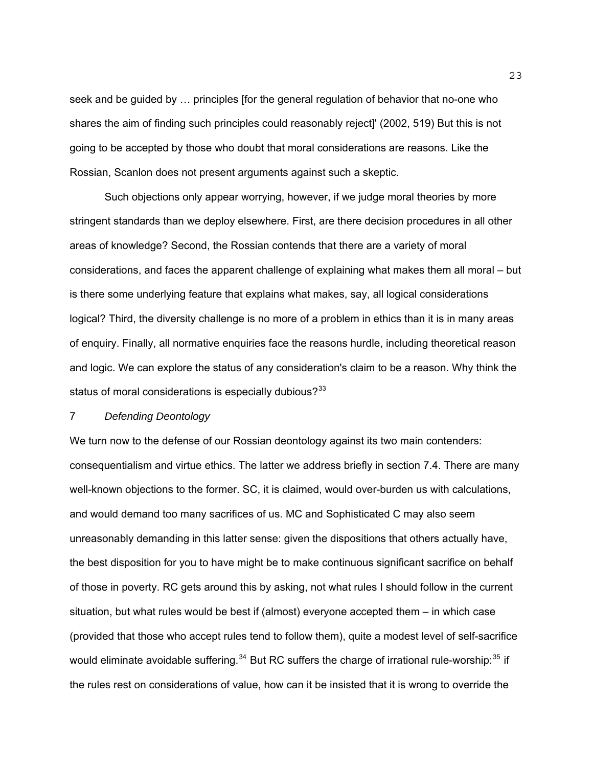seek and be guided by … principles [for the general regulation of behavior that no-one who shares the aim of finding such principles could reasonably reject]' (2002, 519) But this is not going to be accepted by those who doubt that moral considerations are reasons. Like the Rossian, Scanlon does not present arguments against such a skeptic.

Such objections only appear worrying, however, if we judge moral theories by more stringent standards than we deploy elsewhere. First, are there decision procedures in all other areas of knowledge? Second, the Rossian contends that there are a variety of moral considerations, and faces the apparent challenge of explaining what makes them all moral – but is there some underlying feature that explains what makes, say, all logical considerations logical? Third, the diversity challenge is no more of a problem in ethics than it is in many areas of enquiry. Finally, all normative enquiries face the reasons hurdle, including theoretical reason and logic. We can explore the status of any consideration's claim to be a reason. Why think the status of moral considerations is especially dubious?<sup>[33](#page-50-1)</sup>

### 7 *Defending Deontology*

We turn now to the defense of our Rossian deontology against its two main contenders: consequentialism and virtue ethics. The latter we address briefly in section 7.4. There are many well-known objections to the former. SC, it is claimed, would over-burden us with calculations, and would demand too many sacrifices of us. MC and Sophisticated C may also seem unreasonably demanding in this latter sense: given the dispositions that others actually have, the best disposition for you to have might be to make continuous significant sacrifice on behalf of those in poverty. RC gets around this by asking, not what rules I should follow in the current situation, but what rules would be best if (almost) everyone accepted them – in which case (provided that those who accept rules tend to follow them), quite a modest level of self-sacrifice would eliminate avoidable suffering.<sup>[34](#page-50-1)</sup> But RC suffers the charge of irrational rule-worship:<sup>[35](#page-50-1)</sup> if the rules rest on considerations of value, how can it be insisted that it is wrong to override the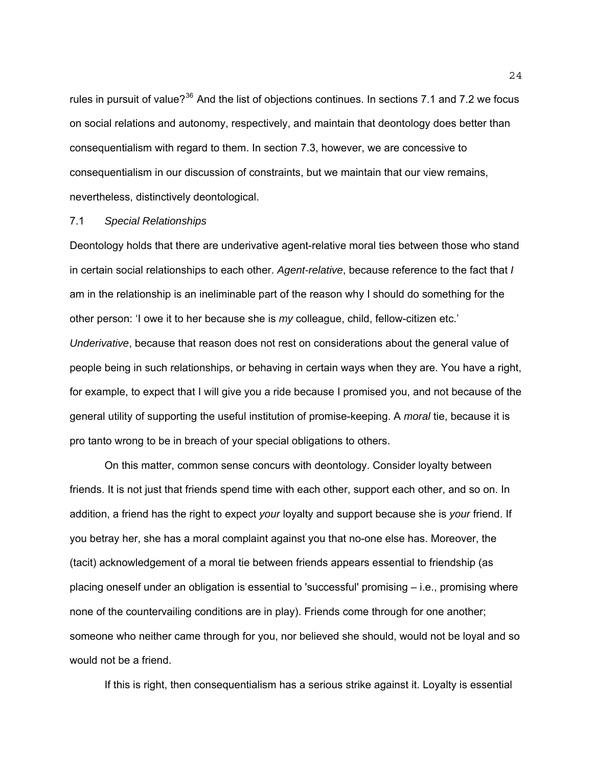rules in pursuit of value?<sup>[36](#page-50-1)</sup> And the list of objections continues. In sections 7.1 and 7.2 we focus on social relations and autonomy, respectively, and maintain that deontology does better than consequentialism with regard to them. In section 7.3, however, we are concessive to consequentialism in our discussion of constraints, but we maintain that our view remains, nevertheless, distinctively deontological.

### 7.1 *Special Relationships*

Deontology holds that there are underivative agent-relative moral ties between those who stand in certain social relationships to each other. *Agent-relative*, because reference to the fact that *I*  am in the relationship is an ineliminable part of the reason why I should do something for the other person: 'I owe it to her because she is *my* colleague, child, fellow-citizen etc.' *Underivative*, because that reason does not rest on considerations about the general value of people being in such relationships, or behaving in certain ways when they are. You have a right, for example, to expect that I will give you a ride because I promised you, and not because of the general utility of supporting the useful institution of promise-keeping. A *moral* tie, because it is pro tanto wrong to be in breach of your special obligations to others.

 On this matter, common sense concurs with deontology. Consider loyalty between friends. It is not just that friends spend time with each other, support each other, and so on. In addition, a friend has the right to expect *your* loyalty and support because she is *your* friend. If you betray her, she has a moral complaint against you that no-one else has. Moreover, the (tacit) acknowledgement of a moral tie between friends appears essential to friendship (as placing oneself under an obligation is essential to 'successful' promising – i.e., promising where none of the countervailing conditions are in play). Friends come through for one another; someone who neither came through for you, nor believed she should, would not be loyal and so would not be a friend.

If this is right, then consequentialism has a serious strike against it. Loyalty is essential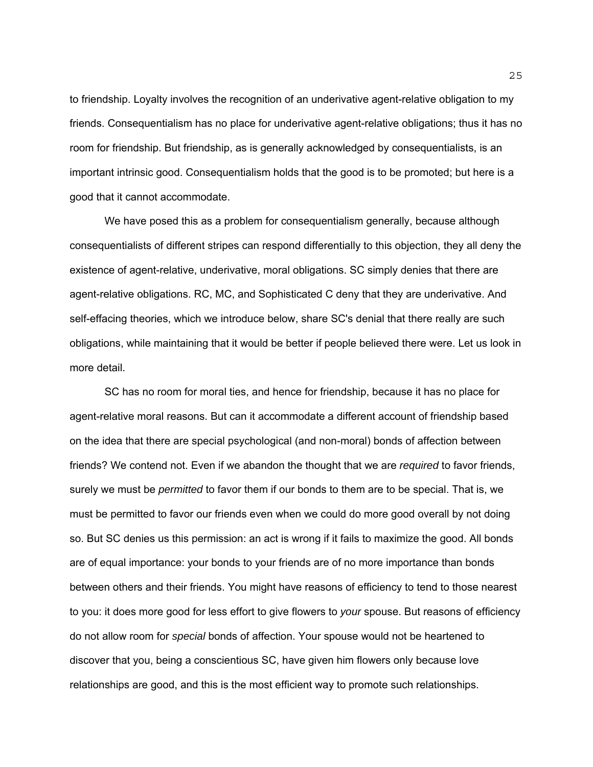to friendship. Loyalty involves the recognition of an underivative agent-relative obligation to my friends. Consequentialism has no place for underivative agent-relative obligations; thus it has no room for friendship. But friendship, as is generally acknowledged by consequentialists, is an important intrinsic good. Consequentialism holds that the good is to be promoted; but here is a good that it cannot accommodate.

We have posed this as a problem for consequentialism generally, because although consequentialists of different stripes can respond differentially to this objection, they all deny the existence of agent-relative, underivative, moral obligations. SC simply denies that there are agent-relative obligations. RC, MC, and Sophisticated C deny that they are underivative. And self-effacing theories, which we introduce below, share SC's denial that there really are such obligations, while maintaining that it would be better if people believed there were. Let us look in more detail.

 SC has no room for moral ties, and hence for friendship, because it has no place for agent-relative moral reasons. But can it accommodate a different account of friendship based on the idea that there are special psychological (and non-moral) bonds of affection between friends? We contend not. Even if we abandon the thought that we are *required* to favor friends, surely we must be *permitted* to favor them if our bonds to them are to be special. That is, we must be permitted to favor our friends even when we could do more good overall by not doing so. But SC denies us this permission: an act is wrong if it fails to maximize the good. All bonds are of equal importance: your bonds to your friends are of no more importance than bonds between others and their friends. You might have reasons of efficiency to tend to those nearest to you: it does more good for less effort to give flowers to *your* spouse. But reasons of efficiency do not allow room for *special* bonds of affection. Your spouse would not be heartened to discover that you, being a conscientious SC, have given him flowers only because love relationships are good, and this is the most efficient way to promote such relationships.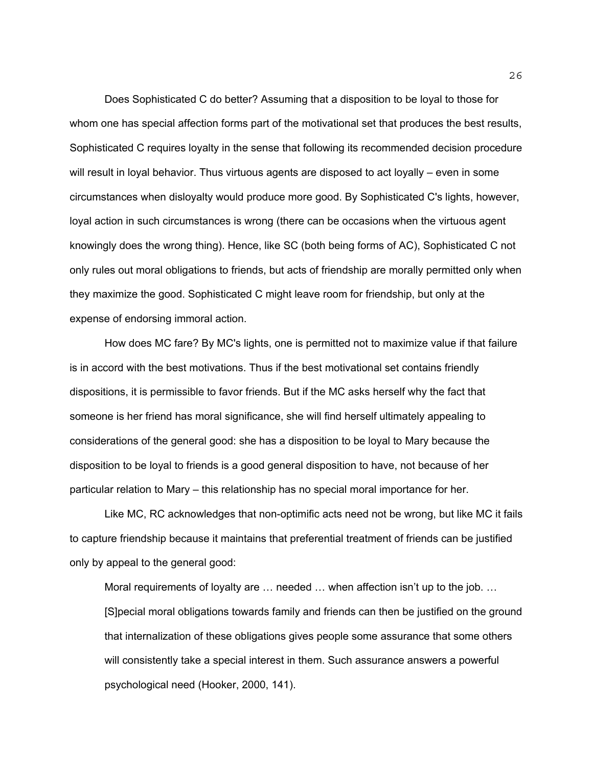Does Sophisticated C do better? Assuming that a disposition to be loyal to those for whom one has special affection forms part of the motivational set that produces the best results, Sophisticated C requires loyalty in the sense that following its recommended decision procedure will result in loyal behavior. Thus virtuous agents are disposed to act loyally – even in some circumstances when disloyalty would produce more good. By Sophisticated C's lights, however, loyal action in such circumstances is wrong (there can be occasions when the virtuous agent knowingly does the wrong thing). Hence, like SC (both being forms of AC), Sophisticated C not only rules out moral obligations to friends, but acts of friendship are morally permitted only when they maximize the good. Sophisticated C might leave room for friendship, but only at the expense of endorsing immoral action.

How does MC fare? By MC's lights, one is permitted not to maximize value if that failure is in accord with the best motivations. Thus if the best motivational set contains friendly dispositions, it is permissible to favor friends. But if the MC asks herself why the fact that someone is her friend has moral significance, she will find herself ultimately appealing to considerations of the general good: she has a disposition to be loyal to Mary because the disposition to be loyal to friends is a good general disposition to have, not because of her particular relation to Mary – this relationship has no special moral importance for her.

Like MC, RC acknowledges that non-optimific acts need not be wrong, but like MC it fails to capture friendship because it maintains that preferential treatment of friends can be justified only by appeal to the general good:

Moral requirements of loyalty are … needed … when affection isn't up to the job. … [S]pecial moral obligations towards family and friends can then be justified on the ground that internalization of these obligations gives people some assurance that some others will consistently take a special interest in them. Such assurance answers a powerful psychological need (Hooker, 2000, 141).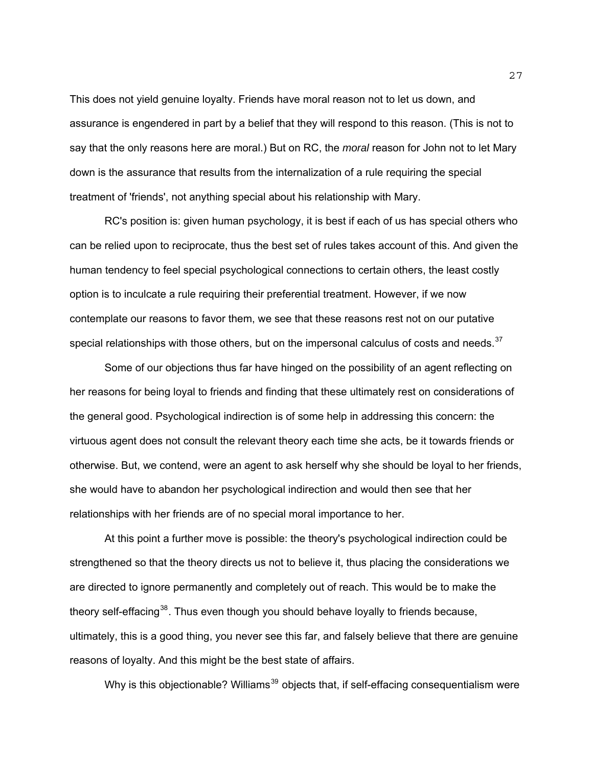This does not yield genuine loyalty. Friends have moral reason not to let us down, and assurance is engendered in part by a belief that they will respond to this reason. (This is not to say that the only reasons here are moral.) But on RC, the *moral* reason for John not to let Mary down is the assurance that results from the internalization of a rule requiring the special treatment of 'friends', not anything special about his relationship with Mary.

RC's position is: given human psychology, it is best if each of us has special others who can be relied upon to reciprocate, thus the best set of rules takes account of this. And given the human tendency to feel special psychological connections to certain others, the least costly option is to inculcate a rule requiring their preferential treatment. However, if we now contemplate our reasons to favor them, we see that these reasons rest not on our putative special relationships with those others, but on the impersonal calculus of costs and needs. $37$ 

 Some of our objections thus far have hinged on the possibility of an agent reflecting on her reasons for being loyal to friends and finding that these ultimately rest on considerations of the general good. Psychological indirection is of some help in addressing this concern: the virtuous agent does not consult the relevant theory each time she acts, be it towards friends or otherwise. But, we contend, were an agent to ask herself why she should be loyal to her friends, she would have to abandon her psychological indirection and would then see that her relationships with her friends are of no special moral importance to her.

 At this point a further move is possible: the theory's psychological indirection could be strengthened so that the theory directs us not to believe it, thus placing the considerations we are directed to ignore permanently and completely out of reach. This would be to make the theory self-effacing<sup>[38](#page-50-1)</sup>. Thus even though you should behave loyally to friends because, ultimately, this is a good thing, you never see this far, and falsely believe that there are genuine reasons of loyalty. And this might be the best state of affairs.

Why is this objectionable? Williams<sup>[39](#page-50-1)</sup> objects that, if self-effacing consequentialism were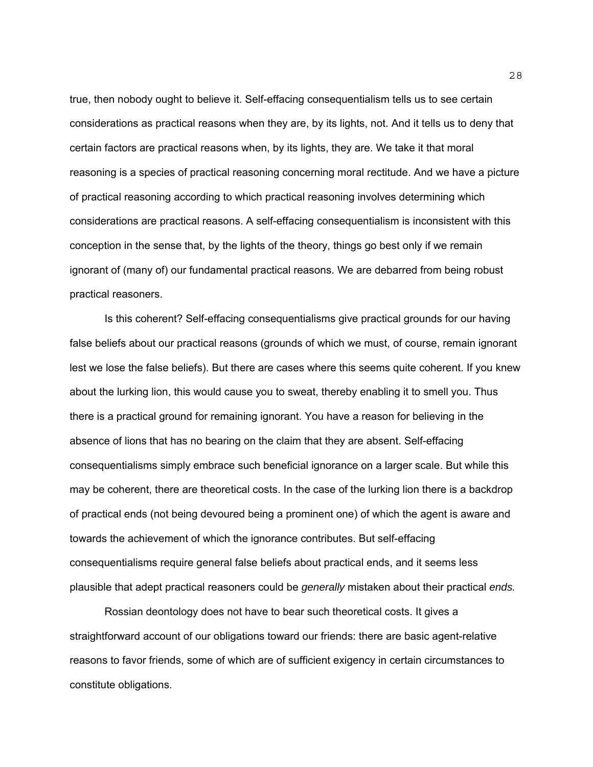true, then nobody ought to believe it. Self-effacing consequentialism tells us to see certain considerations as practical reasons when they are, by its lights, not. And it tells us to deny that certain factors are practical reasons when, by its lights, they are. We take it that moral reasoning is a species of practical reasoning concerning moral rectitude. And we have a picture of practical reasoning according to which practical reasoning involves determining which considerations are practical reasons. A self-effacing consequentialism is inconsistent with this conception in the sense that, by the lights of the theory, things go best only if we remain ignorant of (many of) our fundamental practical reasons. We are debarred from being robust practical reasoners.

Is this coherent? Self-effacing consequentialisms give practical grounds for our having false beliefs about our practical reasons (grounds of which we must, of course, remain ignorant lest we lose the false beliefs). But there are cases where this seems quite coherent. If you knew about the lurking lion, this would cause you to sweat, thereby enabling it to smell you. Thus there is a practical ground for remaining ignorant. You have a reason for believing in the absence of lions that has no bearing on the claim that they are absent. Self-effacing consequentialisms simply embrace such beneficial ignorance on a larger scale. But while this may be coherent, there are theoretical costs. In the case of the lurking lion there is a backdrop of practical ends (not being devoured being a prominent one) of which the agent is aware and towards the achievement of which the ignorance contributes. But self-effacing consequentialisms require general false beliefs about practical ends, and it seems less plausible that adept practical reasoners could be *generally* mistaken about their practical *ends.*

 Rossian deontology does not have to bear such theoretical costs. It gives a straightforward account of our obligations toward our friends: there are basic agent-relative reasons to favor friends, some of which are of sufficient exigency in certain circumstances to constitute obligations.

28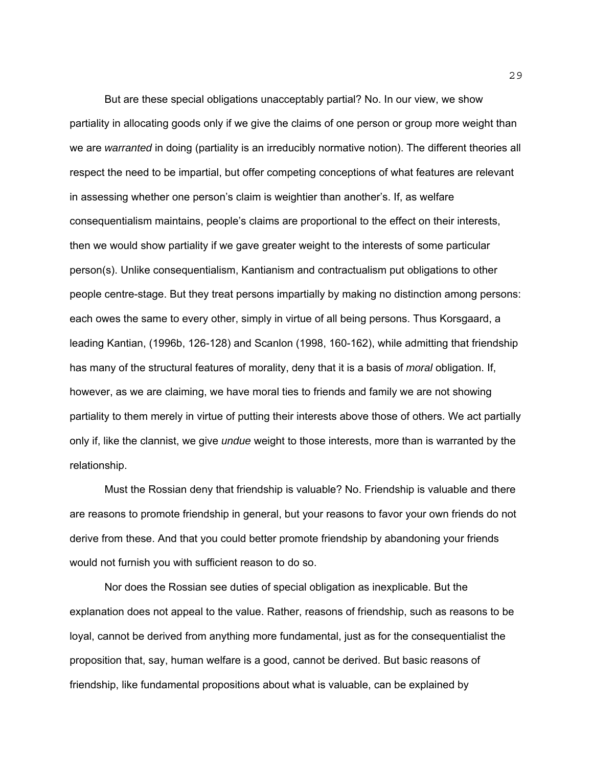But are these special obligations unacceptably partial? No. In our view, we show partiality in allocating goods only if we give the claims of one person or group more weight than we are *warranted* in doing (partiality is an irreducibly normative notion). The different theories all respect the need to be impartial, but offer competing conceptions of what features are relevant in assessing whether one person's claim is weightier than another's. If, as welfare consequentialism maintains, people's claims are proportional to the effect on their interests, then we would show partiality if we gave greater weight to the interests of some particular person(s). Unlike consequentialism, Kantianism and contractualism put obligations to other people centre-stage. But they treat persons impartially by making no distinction among persons: each owes the same to every other, simply in virtue of all being persons. Thus Korsgaard, a leading Kantian, (1996b, 126-128) and Scanlon (1998, 160-162), while admitting that friendship has many of the structural features of morality, deny that it is a basis of *moral* obligation. If, however, as we are claiming, we have moral ties to friends and family we are not showing partiality to them merely in virtue of putting their interests above those of others. We act partially only if, like the clannist, we give *undue* weight to those interests, more than is warranted by the relationship.

 Must the Rossian deny that friendship is valuable? No. Friendship is valuable and there are reasons to promote friendship in general, but your reasons to favor your own friends do not derive from these. And that you could better promote friendship by abandoning your friends would not furnish you with sufficient reason to do so.

Nor does the Rossian see duties of special obligation as inexplicable. But the explanation does not appeal to the value. Rather, reasons of friendship, such as reasons to be loyal, cannot be derived from anything more fundamental, just as for the consequentialist the proposition that, say, human welfare is a good, cannot be derived. But basic reasons of friendship, like fundamental propositions about what is valuable, can be explained by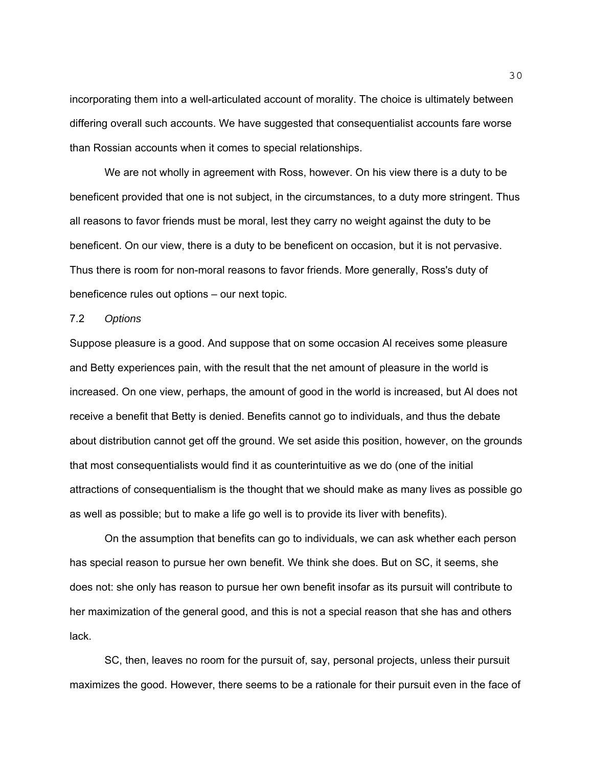incorporating them into a well-articulated account of morality. The choice is ultimately between differing overall such accounts. We have suggested that consequentialist accounts fare worse than Rossian accounts when it comes to special relationships.

We are not wholly in agreement with Ross, however. On his view there is a duty to be beneficent provided that one is not subject, in the circumstances, to a duty more stringent. Thus all reasons to favor friends must be moral, lest they carry no weight against the duty to be beneficent. On our view, there is a duty to be beneficent on occasion, but it is not pervasive. Thus there is room for non-moral reasons to favor friends. More generally, Ross's duty of beneficence rules out options – our next topic.

# 7.2 *Options*

Suppose pleasure is a good. And suppose that on some occasion Al receives some pleasure and Betty experiences pain, with the result that the net amount of pleasure in the world is increased. On one view, perhaps, the amount of good in the world is increased, but Al does not receive a benefit that Betty is denied. Benefits cannot go to individuals, and thus the debate about distribution cannot get off the ground. We set aside this position, however, on the grounds that most consequentialists would find it as counterintuitive as we do (one of the initial attractions of consequentialism is the thought that we should make as many lives as possible go as well as possible; but to make a life go well is to provide its liver with benefits).

On the assumption that benefits can go to individuals, we can ask whether each person has special reason to pursue her own benefit. We think she does. But on SC, it seems, she does not: she only has reason to pursue her own benefit insofar as its pursuit will contribute to her maximization of the general good, and this is not a special reason that she has and others lack.

SC, then, leaves no room for the pursuit of, say, personal projects, unless their pursuit maximizes the good. However, there seems to be a rationale for their pursuit even in the face of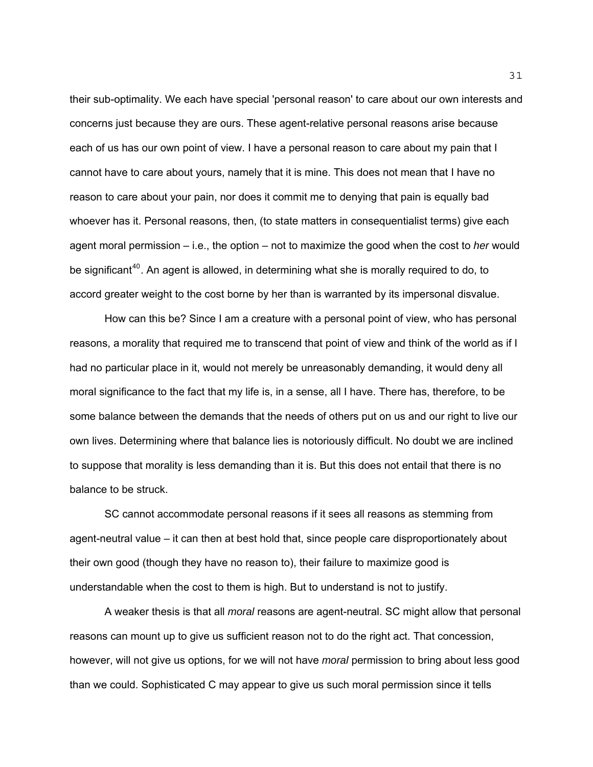their sub-optimality. We each have special 'personal reason' to care about our own interests and concerns just because they are ours. These agent-relative personal reasons arise because each of us has our own point of view. I have a personal reason to care about my pain that I cannot have to care about yours, namely that it is mine. This does not mean that I have no reason to care about your pain, nor does it commit me to denying that pain is equally bad whoever has it. Personal reasons, then, (to state matters in consequentialist terms) give each agent moral permission – i.e., the option – not to maximize the good when the cost to *her* would be significant<sup>[40](#page-50-1)</sup>. An agent is allowed, in determining what she is morally required to do, to accord greater weight to the cost borne by her than is warranted by its impersonal disvalue.

 How can this be? Since I am a creature with a personal point of view, who has personal reasons, a morality that required me to transcend that point of view and think of the world as if I had no particular place in it, would not merely be unreasonably demanding, it would deny all moral significance to the fact that my life is, in a sense, all I have. There has, therefore, to be some balance between the demands that the needs of others put on us and our right to live our own lives. Determining where that balance lies is notoriously difficult. No doubt we are inclined to suppose that morality is less demanding than it is. But this does not entail that there is no balance to be struck.

 SC cannot accommodate personal reasons if it sees all reasons as stemming from agent-neutral value – it can then at best hold that, since people care disproportionately about their own good (though they have no reason to), their failure to maximize good is understandable when the cost to them is high. But to understand is not to justify.

A weaker thesis is that all *moral* reasons are agent-neutral. SC might allow that personal reasons can mount up to give us sufficient reason not to do the right act. That concession, however, will not give us options, for we will not have *moral* permission to bring about less good than we could. Sophisticated C may appear to give us such moral permission since it tells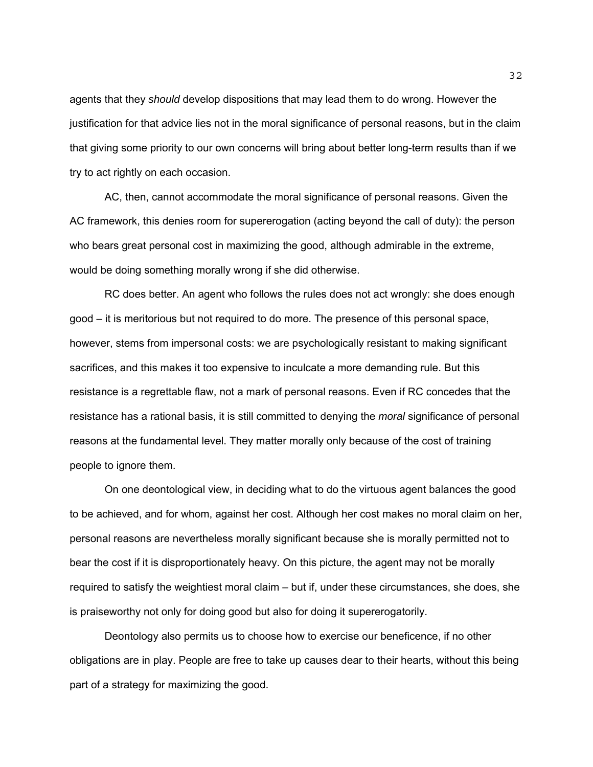agents that they *should* develop dispositions that may lead them to do wrong. However the justification for that advice lies not in the moral significance of personal reasons, but in the claim that giving some priority to our own concerns will bring about better long-term results than if we try to act rightly on each occasion.

AC, then, cannot accommodate the moral significance of personal reasons. Given the AC framework, this denies room for supererogation (acting beyond the call of duty): the person who bears great personal cost in maximizing the good, although admirable in the extreme, would be doing something morally wrong if she did otherwise.

 RC does better. An agent who follows the rules does not act wrongly: she does enough good – it is meritorious but not required to do more. The presence of this personal space, however, stems from impersonal costs: we are psychologically resistant to making significant sacrifices, and this makes it too expensive to inculcate a more demanding rule. But this resistance is a regrettable flaw, not a mark of personal reasons. Even if RC concedes that the resistance has a rational basis, it is still committed to denying the *moral* significance of personal reasons at the fundamental level. They matter morally only because of the cost of training people to ignore them.

On one deontological view, in deciding what to do the virtuous agent balances the good to be achieved, and for whom, against her cost. Although her cost makes no moral claim on her, personal reasons are nevertheless morally significant because she is morally permitted not to bear the cost if it is disproportionately heavy. On this picture, the agent may not be morally required to satisfy the weightiest moral claim – but if, under these circumstances, she does, she is praiseworthy not only for doing good but also for doing it supererogatorily.

Deontology also permits us to choose how to exercise our beneficence, if no other obligations are in play. People are free to take up causes dear to their hearts, without this being part of a strategy for maximizing the good.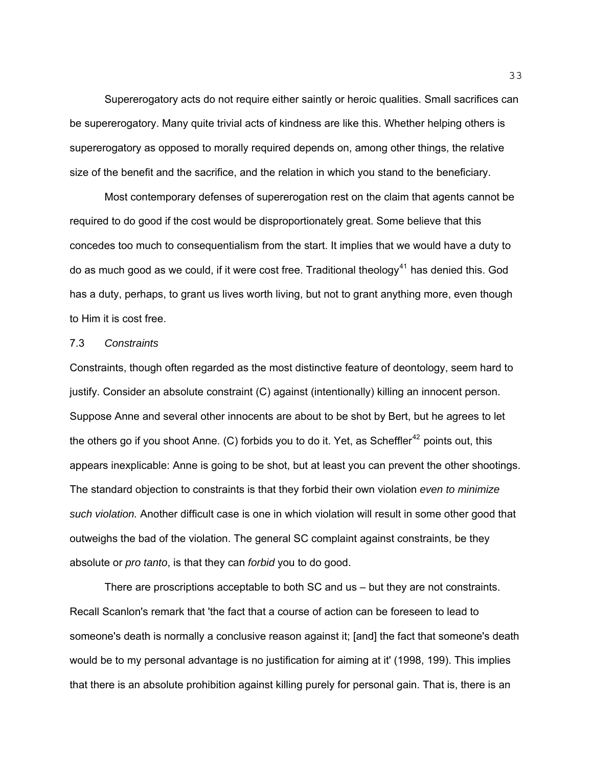Supererogatory acts do not require either saintly or heroic qualities. Small sacrifices can be supererogatory. Many quite trivial acts of kindness are like this. Whether helping others is supererogatory as opposed to morally required depends on, among other things, the relative size of the benefit and the sacrifice, and the relation in which you stand to the beneficiary.

Most contemporary defenses of supererogation rest on the claim that agents cannot be required to do good if the cost would be disproportionately great. Some believe that this concedes too much to consequentialism from the start. It implies that we would have a duty to do as much good as we could, if it were cost free. Traditional theology<sup>[41](#page-50-1)</sup> has denied this. God has a duty, perhaps, to grant us lives worth living, but not to grant anything more, even though to Him it is cost free.

### 7.3 *Constraints*

Constraints, though often regarded as the most distinctive feature of deontology, seem hard to justify. Consider an absolute constraint (C) against (intentionally) killing an innocent person. Suppose Anne and several other innocents are about to be shot by Bert, but he agrees to let the others go if you shoot Anne. (C) forbids you to do it. Yet, as Scheffler<sup>[42](#page-50-1)</sup> points out, this appears inexplicable: Anne is going to be shot, but at least you can prevent the other shootings. The standard objection to constraints is that they forbid their own violation *even to minimize such violation.* Another difficult case is one in which violation will result in some other good that outweighs the bad of the violation. The general SC complaint against constraints, be they absolute or *pro tanto*, is that they can *forbid* you to do good.

 There are proscriptions acceptable to both SC and us – but they are not constraints. Recall Scanlon's remark that 'the fact that a course of action can be foreseen to lead to someone's death is normally a conclusive reason against it; [and] the fact that someone's death would be to my personal advantage is no justification for aiming at it' (1998, 199). This implies that there is an absolute prohibition against killing purely for personal gain. That is, there is an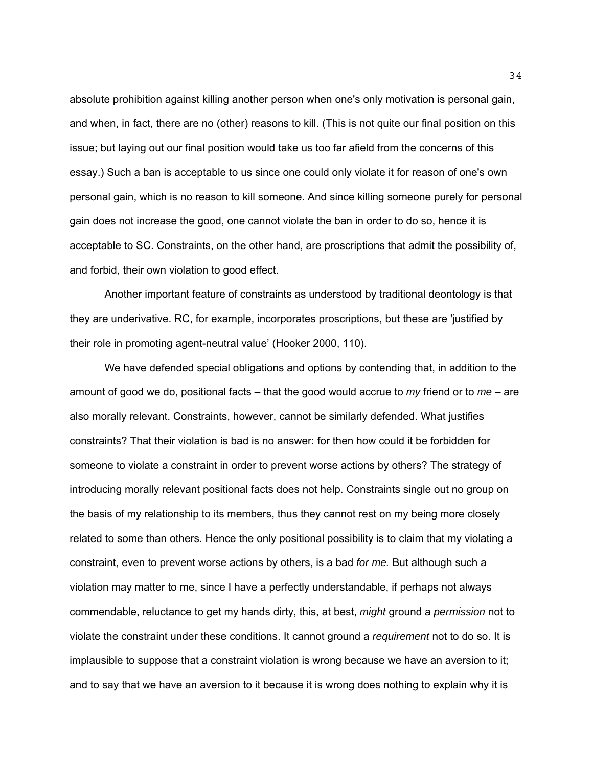absolute prohibition against killing another person when one's only motivation is personal gain, and when, in fact, there are no (other) reasons to kill. (This is not quite our final position on this issue; but laying out our final position would take us too far afield from the concerns of this essay.) Such a ban is acceptable to us since one could only violate it for reason of one's own personal gain, which is no reason to kill someone. And since killing someone purely for personal gain does not increase the good, one cannot violate the ban in order to do so, hence it is acceptable to SC. Constraints, on the other hand, are proscriptions that admit the possibility of, and forbid, their own violation to good effect.

Another important feature of constraints as understood by traditional deontology is that they are underivative. RC, for example, incorporates proscriptions, but these are 'justified by their role in promoting agent-neutral value' (Hooker 2000, 110).

We have defended special obligations and options by contending that, in addition to the amount of good we do, positional facts – that the good would accrue to *my* friend or to *me* – are also morally relevant. Constraints, however, cannot be similarly defended. What justifies constraints? That their violation is bad is no answer: for then how could it be forbidden for someone to violate a constraint in order to prevent worse actions by others? The strategy of introducing morally relevant positional facts does not help. Constraints single out no group on the basis of my relationship to its members, thus they cannot rest on my being more closely related to some than others. Hence the only positional possibility is to claim that my violating a constraint, even to prevent worse actions by others, is a bad *for me.* But although such a violation may matter to me, since I have a perfectly understandable, if perhaps not always commendable, reluctance to get my hands dirty, this, at best, *might* ground a *permission* not to violate the constraint under these conditions. It cannot ground a *requirement* not to do so. It is implausible to suppose that a constraint violation is wrong because we have an aversion to it; and to say that we have an aversion to it because it is wrong does nothing to explain why it is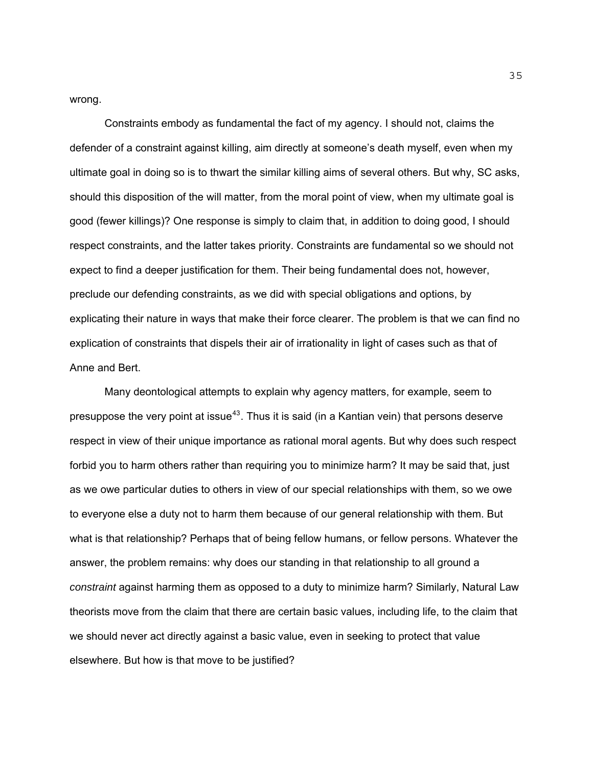wrong.

 Constraints embody as fundamental the fact of my agency. I should not, claims the defender of a constraint against killing, aim directly at someone's death myself, even when my ultimate goal in doing so is to thwart the similar killing aims of several others. But why, SC asks, should this disposition of the will matter, from the moral point of view, when my ultimate goal is good (fewer killings)? One response is simply to claim that, in addition to doing good, I should respect constraints, and the latter takes priority. Constraints are fundamental so we should not expect to find a deeper justification for them. Their being fundamental does not, however, preclude our defending constraints, as we did with special obligations and options, by explicating their nature in ways that make their force clearer. The problem is that we can find no explication of constraints that dispels their air of irrationality in light of cases such as that of Anne and Bert.

 Many deontological attempts to explain why agency matters, for example, seem to presuppose the very point at issue<sup>[43](#page-50-1)</sup>. Thus it is said (in a Kantian vein) that persons deserve respect in view of their unique importance as rational moral agents. But why does such respect forbid you to harm others rather than requiring you to minimize harm? It may be said that, just as we owe particular duties to others in view of our special relationships with them, so we owe to everyone else a duty not to harm them because of our general relationship with them. But what is that relationship? Perhaps that of being fellow humans, or fellow persons. Whatever the answer, the problem remains: why does our standing in that relationship to all ground a *constraint* against harming them as opposed to a duty to minimize harm? Similarly, Natural Law theorists move from the claim that there are certain basic values, including life, to the claim that we should never act directly against a basic value, even in seeking to protect that value elsewhere. But how is that move to be justified?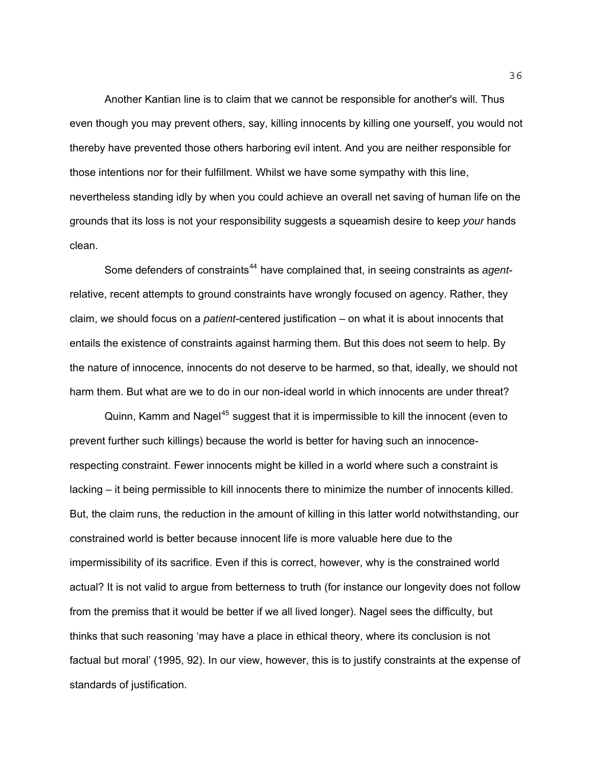Another Kantian line is to claim that we cannot be responsible for another's will. Thus even though you may prevent others, say, killing innocents by killing one yourself, you would not thereby have prevented those others harboring evil intent. And you are neither responsible for those intentions nor for their fulfillment. Whilst we have some sympathy with this line, nevertheless standing idly by when you could achieve an overall net saving of human life on the grounds that its loss is not your responsibility suggests a squeamish desire to keep *your* hands clean.

Some defenders of constraints<sup>[44](#page-50-1)</sup> have complained that, in seeing constraints as *agent*relative, recent attempts to ground constraints have wrongly focused on agency. Rather, they claim, we should focus on a *patient*-centered justification – on what it is about innocents that entails the existence of constraints against harming them. But this does not seem to help. By the nature of innocence, innocents do not deserve to be harmed, so that, ideally, we should not harm them. But what are we to do in our non-ideal world in which innocents are under threat?

Quinn, Kamm and Nagel<sup>[45](#page-50-1)</sup> suggest that it is impermissible to kill the innocent (even to prevent further such killings) because the world is better for having such an innocencerespecting constraint. Fewer innocents might be killed in a world where such a constraint is lacking – it being permissible to kill innocents there to minimize the number of innocents killed. But, the claim runs, the reduction in the amount of killing in this latter world notwithstanding, our constrained world is better because innocent life is more valuable here due to the impermissibility of its sacrifice. Even if this is correct, however, why is the constrained world actual? It is not valid to argue from betterness to truth (for instance our longevity does not follow from the premiss that it would be better if we all lived longer). Nagel sees the difficulty, but thinks that such reasoning 'may have a place in ethical theory, where its conclusion is not factual but moral' (1995, 92). In our view, however, this is to justify constraints at the expense of standards of justification.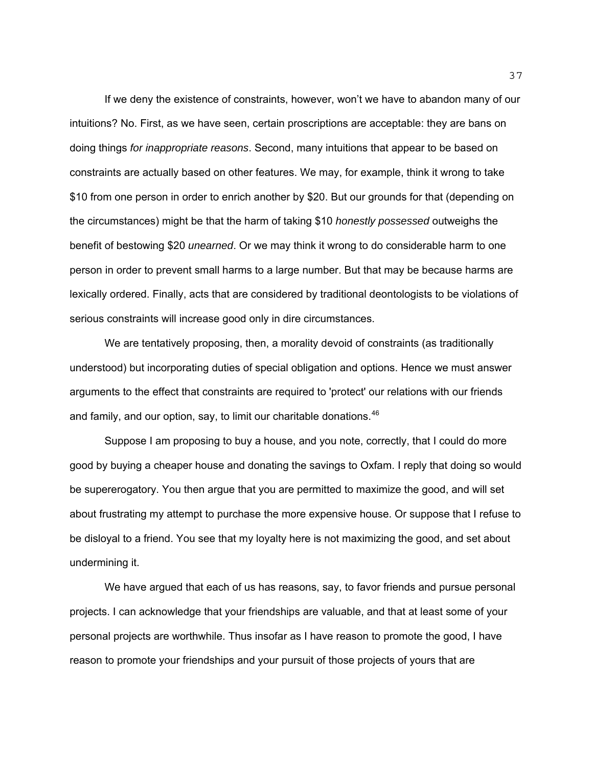If we deny the existence of constraints, however, won't we have to abandon many of our intuitions? No. First, as we have seen, certain proscriptions are acceptable: they are bans on doing things *for inappropriate reasons*. Second, many intuitions that appear to be based on constraints are actually based on other features. We may, for example, think it wrong to take \$10 from one person in order to enrich another by \$20. But our grounds for that (depending on the circumstances) might be that the harm of taking \$10 *honestly possessed* outweighs the benefit of bestowing \$20 *unearned*. Or we may think it wrong to do considerable harm to one person in order to prevent small harms to a large number. But that may be because harms are lexically ordered. Finally, acts that are considered by traditional deontologists to be violations of serious constraints will increase good only in dire circumstances.

 We are tentatively proposing, then, a morality devoid of constraints (as traditionally understood) but incorporating duties of special obligation and options. Hence we must answer arguments to the effect that constraints are required to 'protect' our relations with our friends and family, and our option, say, to limit our charitable donations.<sup>[46](#page-50-1)</sup>

 Suppose I am proposing to buy a house, and you note, correctly, that I could do more good by buying a cheaper house and donating the savings to Oxfam. I reply that doing so would be supererogatory. You then argue that you are permitted to maximize the good, and will set about frustrating my attempt to purchase the more expensive house. Or suppose that I refuse to be disloyal to a friend. You see that my loyalty here is not maximizing the good, and set about undermining it.

 We have argued that each of us has reasons, say, to favor friends and pursue personal projects. I can acknowledge that your friendships are valuable, and that at least some of your personal projects are worthwhile. Thus insofar as I have reason to promote the good, I have reason to promote your friendships and your pursuit of those projects of yours that are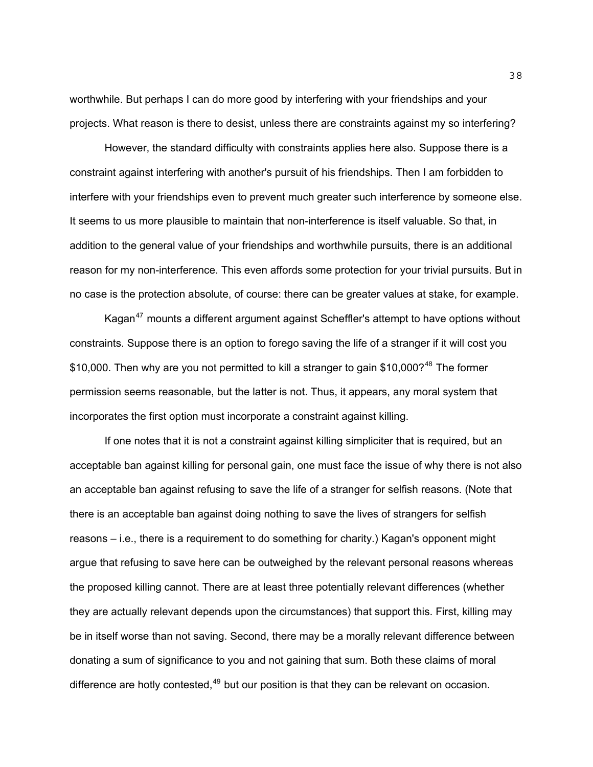worthwhile. But perhaps I can do more good by interfering with your friendships and your projects. What reason is there to desist, unless there are constraints against my so interfering?

 However, the standard difficulty with constraints applies here also. Suppose there is a constraint against interfering with another's pursuit of his friendships. Then I am forbidden to interfere with your friendships even to prevent much greater such interference by someone else. It seems to us more plausible to maintain that non-interference is itself valuable. So that, in addition to the general value of your friendships and worthwhile pursuits, there is an additional reason for my non-interference. This even affords some protection for your trivial pursuits. But in no case is the protection absolute, of course: there can be greater values at stake, for example.

Kagan<sup>[47](#page-50-1)</sup> mounts a different argument against Scheffler's attempt to have options without constraints. Suppose there is an option to forego saving the life of a stranger if it will cost you \$10,000. Then why are you not permitted to kill a stranger to gain \$10,000?<sup>[48](#page-50-1)</sup> The former permission seems reasonable, but the latter is not. Thus, it appears, any moral system that incorporates the first option must incorporate a constraint against killing.

If one notes that it is not a constraint against killing simpliciter that is required, but an acceptable ban against killing for personal gain, one must face the issue of why there is not also an acceptable ban against refusing to save the life of a stranger for selfish reasons. (Note that there is an acceptable ban against doing nothing to save the lives of strangers for selfish reasons – i.e., there is a requirement to do something for charity.) Kagan's opponent might argue that refusing to save here can be outweighed by the relevant personal reasons whereas the proposed killing cannot. There are at least three potentially relevant differences (whether they are actually relevant depends upon the circumstances) that support this. First, killing may be in itself worse than not saving. Second, there may be a morally relevant difference between donating a sum of significance to you and not gaining that sum. Both these claims of moral difference are hotly contested, $49$  but our position is that they can be relevant on occasion.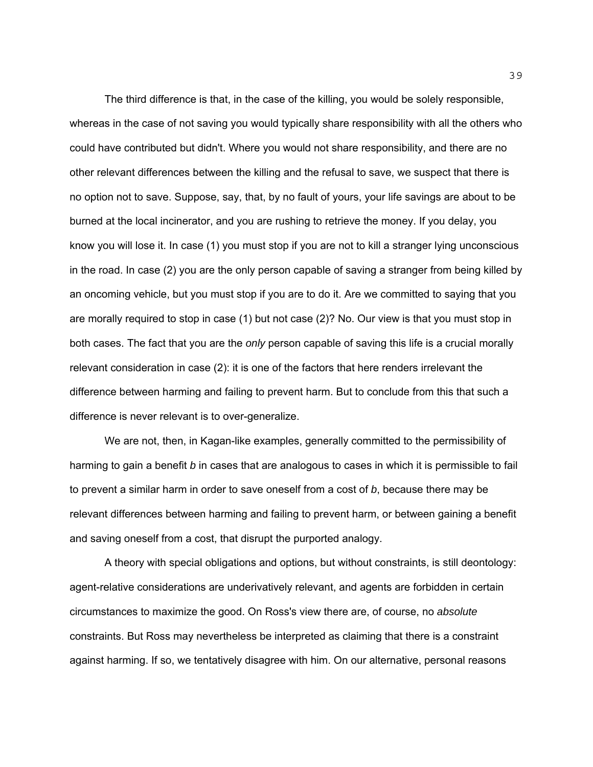The third difference is that, in the case of the killing, you would be solely responsible, whereas in the case of not saving you would typically share responsibility with all the others who could have contributed but didn't. Where you would not share responsibility, and there are no other relevant differences between the killing and the refusal to save, we suspect that there is no option not to save. Suppose, say, that, by no fault of yours, your life savings are about to be burned at the local incinerator, and you are rushing to retrieve the money. If you delay, you know you will lose it. In case (1) you must stop if you are not to kill a stranger lying unconscious in the road. In case (2) you are the only person capable of saving a stranger from being killed by an oncoming vehicle, but you must stop if you are to do it. Are we committed to saying that you are morally required to stop in case (1) but not case (2)? No. Our view is that you must stop in both cases. The fact that you are the *only* person capable of saving this life is a crucial morally relevant consideration in case (2): it is one of the factors that here renders irrelevant the difference between harming and failing to prevent harm. But to conclude from this that such a difference is never relevant is to over-generalize.

We are not, then, in Kagan-like examples, generally committed to the permissibility of harming to gain a benefit *b* in cases that are analogous to cases in which it is permissible to fail to prevent a similar harm in order to save oneself from a cost of *b*, because there may be relevant differences between harming and failing to prevent harm, or between gaining a benefit and saving oneself from a cost, that disrupt the purported analogy.

A theory with special obligations and options, but without constraints, is still deontology: agent-relative considerations are underivatively relevant, and agents are forbidden in certain circumstances to maximize the good. On Ross's view there are, of course, no *absolute* constraints. But Ross may nevertheless be interpreted as claiming that there is a constraint against harming. If so, we tentatively disagree with him. On our alternative, personal reasons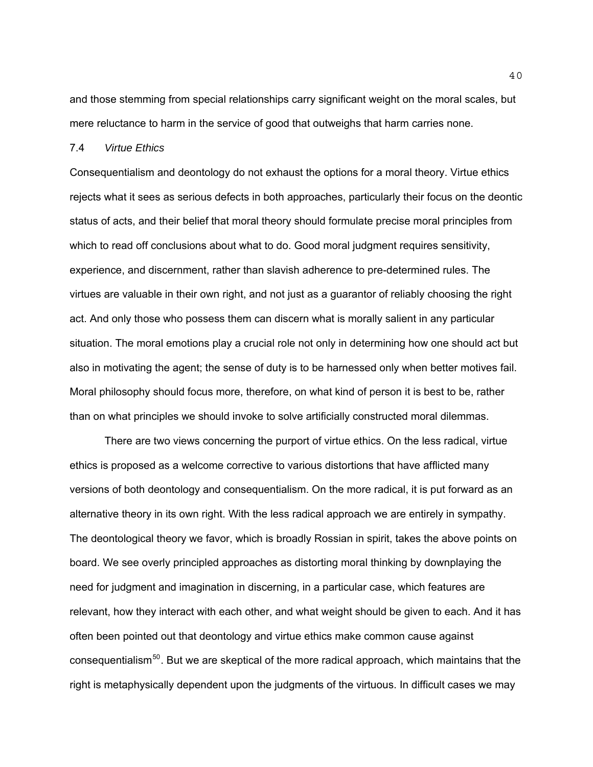and those stemming from special relationships carry significant weight on the moral scales, but mere reluctance to harm in the service of good that outweighs that harm carries none.

### 7.4 *Virtue Ethics*

Consequentialism and deontology do not exhaust the options for a moral theory. Virtue ethics rejects what it sees as serious defects in both approaches, particularly their focus on the deontic status of acts, and their belief that moral theory should formulate precise moral principles from which to read off conclusions about what to do. Good moral judgment requires sensitivity, experience, and discernment, rather than slavish adherence to pre-determined rules. The virtues are valuable in their own right, and not just as a guarantor of reliably choosing the right act. And only those who possess them can discern what is morally salient in any particular situation. The moral emotions play a crucial role not only in determining how one should act but also in motivating the agent; the sense of duty is to be harnessed only when better motives fail. Moral philosophy should focus more, therefore, on what kind of person it is best to be, rather than on what principles we should invoke to solve artificially constructed moral dilemmas.

 There are two views concerning the purport of virtue ethics. On the less radical, virtue ethics is proposed as a welcome corrective to various distortions that have afflicted many versions of both deontology and consequentialism. On the more radical, it is put forward as an alternative theory in its own right. With the less radical approach we are entirely in sympathy. The deontological theory we favor, which is broadly Rossian in spirit, takes the above points on board. We see overly principled approaches as distorting moral thinking by downplaying the need for judgment and imagination in discerning, in a particular case, which features are relevant, how they interact with each other, and what weight should be given to each. And it has often been pointed out that deontology and virtue ethics make common cause against consequentialism<sup>[50](#page-50-1)</sup>. But we are skeptical of the more radical approach, which maintains that the right is metaphysically dependent upon the judgments of the virtuous. In difficult cases we may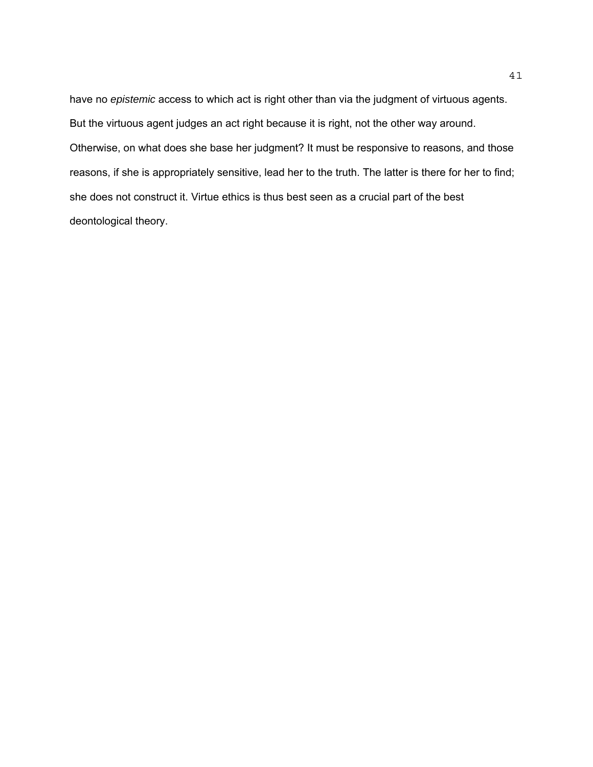have no *epistemic* access to which act is right other than via the judgment of virtuous agents. But the virtuous agent judges an act right because it is right, not the other way around. Otherwise, on what does she base her judgment? It must be responsive to reasons, and those reasons, if she is appropriately sensitive, lead her to the truth. The latter is there for her to find; she does not construct it. Virtue ethics is thus best seen as a crucial part of the best deontological theory.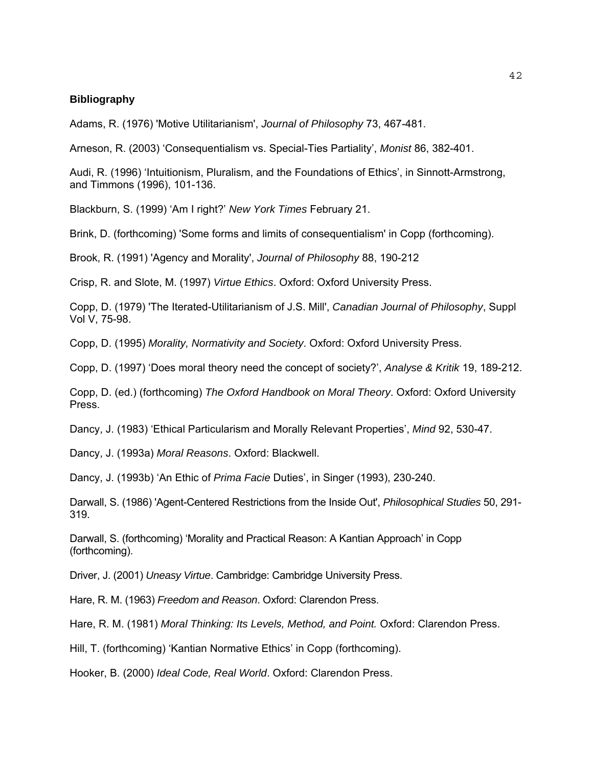# **Bibliography**

Adams, R. (1976) 'Motive Utilitarianism', *Journal of Philosophy* 73, 467-481.

Arneson, R. (2003) 'Consequentialism vs. Special-Ties Partiality', *Monist* 86, 382-401.

Audi, R. (1996) 'Intuitionism, Pluralism, and the Foundations of Ethics', in Sinnott-Armstrong, and Timmons (1996), 101-136.

Blackburn, S. (1999) 'Am I right?' *New York Times* February 21.

Brink, D. (forthcoming) 'Some forms and limits of consequentialism' in Copp (forthcoming).

Brook, R. (1991) 'Agency and Morality', *Journal of Philosophy* 88, 190-212

Crisp, R. and Slote, M. (1997) *Virtue Ethics*. Oxford: Oxford University Press.

Copp, D. (1979) 'The Iterated-Utilitarianism of J.S. Mill', *Canadian Journal of Philosophy*, Suppl Vol V, 75-98.

Copp, D. (1995) *Morality, Normativity and Society*. Oxford: Oxford University Press.

Copp, D. (1997) 'Does moral theory need the concept of society?', *Analyse & Kritik* 19, 189-212.

Copp, D. (ed.) (forthcoming) *The Oxford Handbook on Moral Theory*. Oxford: Oxford University Press.

Dancy, J. (1983) 'Ethical Particularism and Morally Relevant Properties', *Mind* 92, 530-47.

Dancy, J. (1993a) *Moral Reasons*. Oxford: Blackwell.

Dancy, J. (1993b) 'An Ethic of *Prima Facie* Duties', in Singer (1993), 230-240.

Darwall, S. (1986) 'Agent-Centered Restrictions from the Inside Out', *Philosophical Studies* 50, 291- 319.

Darwall, S. (forthcoming) 'Morality and Practical Reason: A Kantian Approach' in Copp (forthcoming).

Driver, J. (2001) *Uneasy Virtue*. Cambridge: Cambridge University Press.

Hare, R. M. (1963) *Freedom and Reason*. Oxford: Clarendon Press.

Hare, R. M. (1981) *Moral Thinking: Its Levels, Method, and Point.* Oxford: Clarendon Press.

Hill, T. (forthcoming) 'Kantian Normative Ethics' in Copp (forthcoming).

Hooker, B. (2000) *Ideal Code, Real World*. Oxford: Clarendon Press.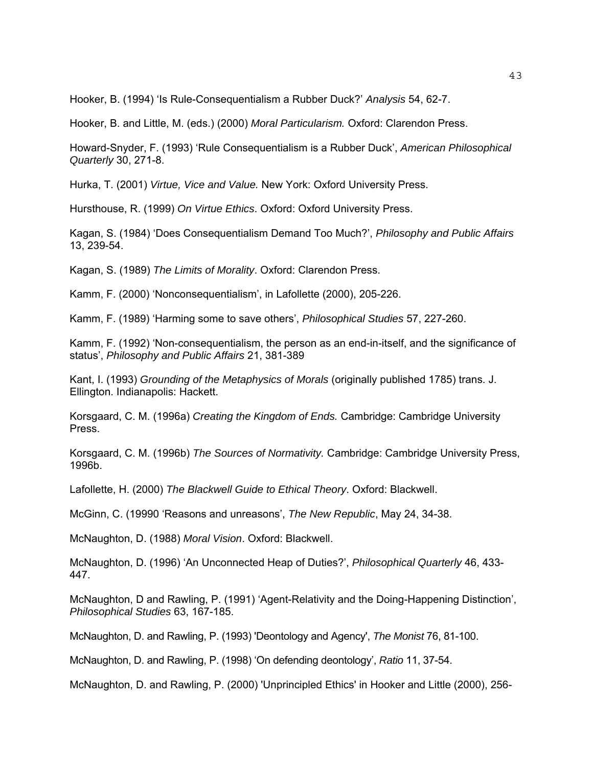Hooker, B. (1994) 'Is Rule-Consequentialism a Rubber Duck?' *Analysis* 54, 62-7.

Hooker, B. and Little, M. (eds.) (2000) *Moral Particularism.* Oxford: Clarendon Press.

Howard-Snyder, F. (1993) 'Rule Consequentialism is a Rubber Duck', *American Philosophical Quarterly* 30, 271-8.

Hurka, T. (2001) *Virtue, Vice and Value.* New York: Oxford University Press.

Hursthouse, R. (1999) *On Virtue Ethics*. Oxford: Oxford University Press.

Kagan, S. (1984) 'Does Consequentialism Demand Too Much?', *Philosophy and Public Affairs* 13, 239-54.

Kagan, S. (1989) *The Limits of Morality*. Oxford: Clarendon Press.

Kamm, F. (2000) 'Nonconsequentialism', in Lafollette (2000), 205-226.

Kamm, F. (1989) 'Harming some to save others', *Philosophical Studies* 57, 227-260.

Kamm, F. (1992) 'Non-consequentialism, the person as an end-in-itself, and the significance of status', *Philosophy and Public Affairs* 21, 381-389

Kant, I. (1993) *Grounding of the Metaphysics of Morals* (originally published 1785) trans. J. Ellington. Indianapolis: Hackett.

Korsgaard, C. M. (1996a) *Creating the Kingdom of Ends.* Cambridge: Cambridge University Press.

Korsgaard, C. M. (1996b) *The Sources of Normativity.* Cambridge: Cambridge University Press, 1996b.

Lafollette, H. (2000) *The Blackwell Guide to Ethical Theory*. Oxford: Blackwell.

McGinn, C. (19990 'Reasons and unreasons', *The New Republic*, May 24, 34-38.

McNaughton, D. (1988) *Moral Vision*. Oxford: Blackwell.

McNaughton, D. (1996) 'An Unconnected Heap of Duties?', *Philosophical Quarterly* 46, 433- 447.

McNaughton, D and Rawling, P. (1991) 'Agent-Relativity and the Doing-Happening Distinction', *Philosophical Studies* 63, 167-185.

McNaughton, D. and Rawling, P. (1993) 'Deontology and Agency', *The Monist* 76, 81-100.

McNaughton, D. and Rawling, P. (1998) 'On defending deontology', *Ratio* 11, 37-54.

McNaughton, D. and Rawling, P. (2000) 'Unprincipled Ethics' in Hooker and Little (2000), 256-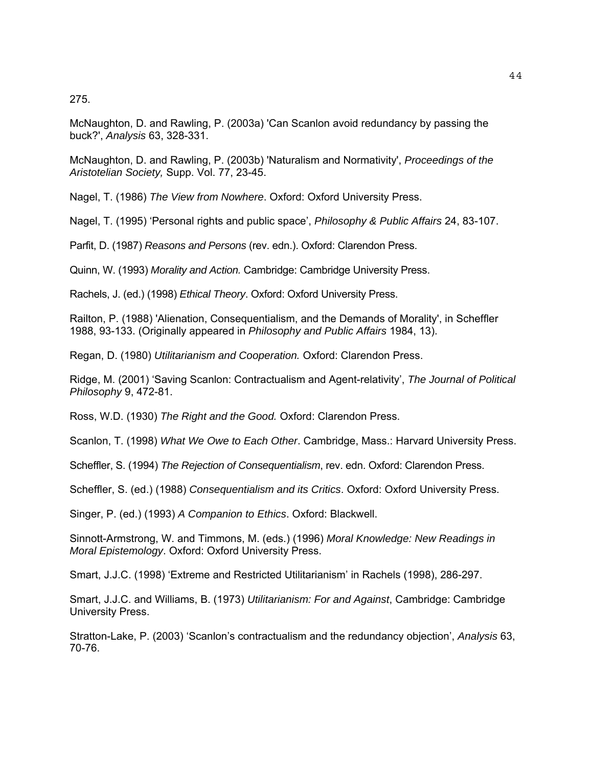275.

McNaughton, D. and Rawling, P. (2003a) 'Can Scanlon avoid redundancy by passing the buck?', *Analysis* 63, 328-331.

McNaughton, D. and Rawling, P. (2003b) 'Naturalism and Normativity', *Proceedings of the Aristotelian Society,* Supp. Vol. 77, 23-45.

Nagel, T. (1986) *The View from Nowhere*. Oxford: Oxford University Press.

Nagel, T. (1995) 'Personal rights and public space', *Philosophy & Public Affairs* 24, 83-107.

Parfit, D. (1987) *Reasons and Persons* (rev. edn.). Oxford: Clarendon Press.

Quinn, W. (1993) *Morality and Action.* Cambridge: Cambridge University Press.

Rachels, J. (ed.) (1998) *Ethical Theory*. Oxford: Oxford University Press.

Railton, P. (1988) 'Alienation, Consequentialism, and the Demands of Morality', in Scheffler 1988, 93-133. (Originally appeared in *Philosophy and Public Affairs* 1984, 13).

Regan, D. (1980) *Utilitarianism and Cooperation.* Oxford: Clarendon Press.

Ridge, M. (2001) 'Saving Scanlon: Contractualism and Agent-relativity', *The Journal of Political Philosophy* 9, 472-81.

Ross, W.D. (1930) *The Right and the Good.* Oxford: Clarendon Press.

Scanlon, T. (1998) *What We Owe to Each Other*. Cambridge, Mass.: Harvard University Press.

Scheffler, S. (1994) *The Rejection of Consequentialism*, rev. edn. Oxford: Clarendon Press.

Scheffler, S. (ed.) (1988) *Consequentialism and its Critics*. Oxford: Oxford University Press.

Singer, P. (ed.) (1993) *A Companion to Ethics*. Oxford: Blackwell.

Sinnott-Armstrong, W. and Timmons, M. (eds.) (1996) *Moral Knowledge: New Readings in Moral Epistemology*. Oxford: Oxford University Press.

Smart, J.J.C. (1998) 'Extreme and Restricted Utilitarianism' in Rachels (1998), 286-297.

Smart, J.J.C. and Williams, B. (1973) *Utilitarianism: For and Against*, Cambridge: Cambridge University Press.

Stratton-Lake, P. (2003) 'Scanlon's contractualism and the redundancy objection', *Analysis* 63, 70-76.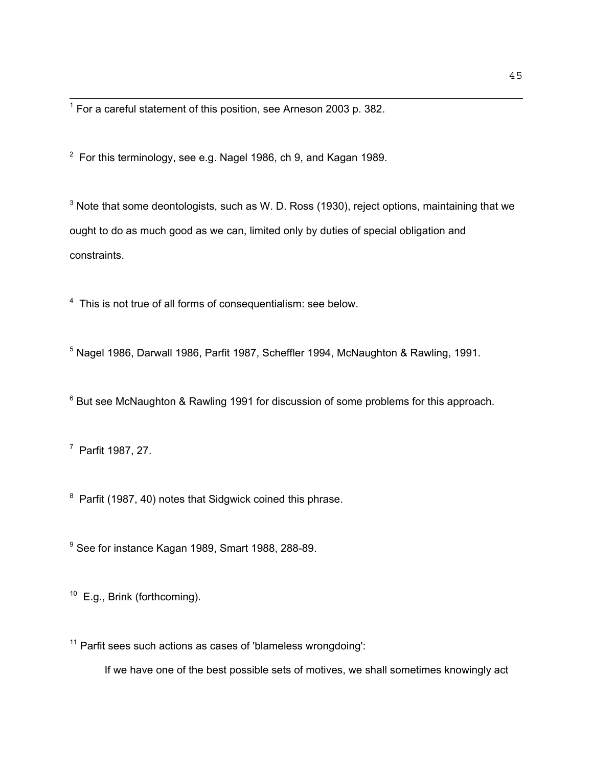1 For a careful statement of this position, see Arneson 2003 p. 382.

 $2$  For this terminology, see e.g. Nagel 1986, ch 9, and Kagan 1989.

 $3$  Note that some deontologists, such as W. D. Ross (1930), reject options, maintaining that we ought to do as much good as we can, limited only by duties of special obligation and constraints.

<sup>4</sup> This is not true of all forms of consequentialism: see below.

<sup>5</sup> Nagel 1986, Darwall 1986, Parfit 1987, Scheffler 1994, McNaughton & Rawling, 1991.

 $6$  But see McNaughton & Rawling 1991 for discussion of some problems for this approach.

7 Parfit 1987, 27.

 $8$  Parfit (1987, 40) notes that Sidgwick coined this phrase.

<sup>9</sup> See for instance Kagan 1989, Smart 1988, 288-89.

 $10$  E.g., Brink (forthcoming).

11 Parfit sees such actions as cases of 'blameless wrongdoing':

If we have one of the best possible sets of motives, we shall sometimes knowingly act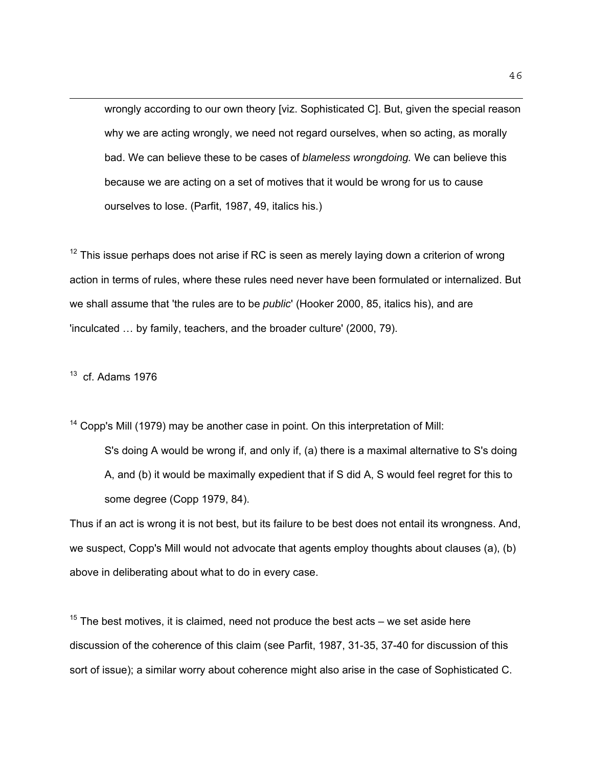wrongly according to our own theory [viz. Sophisticated C]. But, given the special reason why we are acting wrongly, we need not regard ourselves, when so acting, as morally bad. We can believe these to be cases of *blameless wrongdoing.* We can believe this because we are acting on a set of motives that it would be wrong for us to cause ourselves to lose. (Parfit, 1987, 49, italics his.)

 $12$  This issue perhaps does not arise if RC is seen as merely laying down a criterion of wrong action in terms of rules, where these rules need never have been formulated or internalized. But we shall assume that 'the rules are to be *public*' (Hooker 2000, 85, italics his), and are 'inculcated … by family, teachers, and the broader culture' (2000, 79).

 $13$  cf. Adams 1976

i<br>L

 $14$  Copp's Mill (1979) may be another case in point. On this interpretation of Mill: S's doing A would be wrong if, and only if, (a) there is a maximal alternative to S's doing A, and (b) it would be maximally expedient that if S did A, S would feel regret for this to some degree (Copp 1979, 84).

Thus if an act is wrong it is not best, but its failure to be best does not entail its wrongness. And, we suspect, Copp's Mill would not advocate that agents employ thoughts about clauses (a), (b) above in deliberating about what to do in every case.

 $15$  The best motives, it is claimed, need not produce the best acts – we set aside here discussion of the coherence of this claim (see Parfit, 1987, 31-35, 37-40 for discussion of this sort of issue); a similar worry about coherence might also arise in the case of Sophisticated C.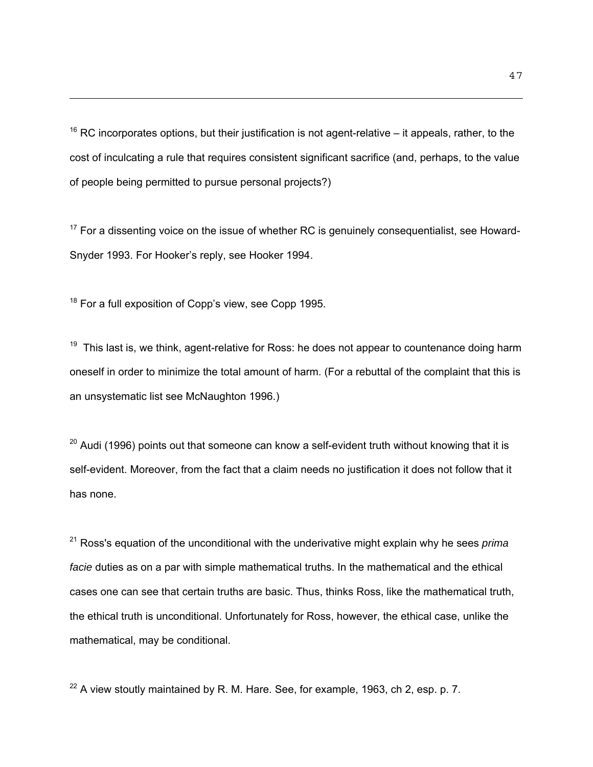$16$  RC incorporates options, but their justification is not agent-relative – it appeals, rather, to the cost of inculcating a rule that requires consistent significant sacrifice (and, perhaps, to the value of people being permitted to pursue personal projects?)

 $17$  For a dissenting voice on the issue of whether RC is genuinely consequentialist, see Howard-Snyder 1993. For Hooker's reply, see Hooker 1994.

<sup>18</sup> For a full exposition of Copp's view, see Copp 1995.

i<br>L

 $19$  This last is, we think, agent-relative for Ross; he does not appear to countenance doing harm oneself in order to minimize the total amount of harm. (For a rebuttal of the complaint that this is an unsystematic list see McNaughton 1996.)

 $20$  Audi (1996) points out that someone can know a self-evident truth without knowing that it is self-evident. Moreover, from the fact that a claim needs no justification it does not follow that it has none.

21 Ross's equation of the unconditional with the underivative might explain why he sees *prima facie* duties as on a par with simple mathematical truths. In the mathematical and the ethical cases one can see that certain truths are basic. Thus, thinks Ross, like the mathematical truth, the ethical truth is unconditional. Unfortunately for Ross, however, the ethical case, unlike the mathematical, may be conditional.

 $22$  A view stoutly maintained by R. M. Hare. See, for example, 1963, ch 2, esp. p. 7.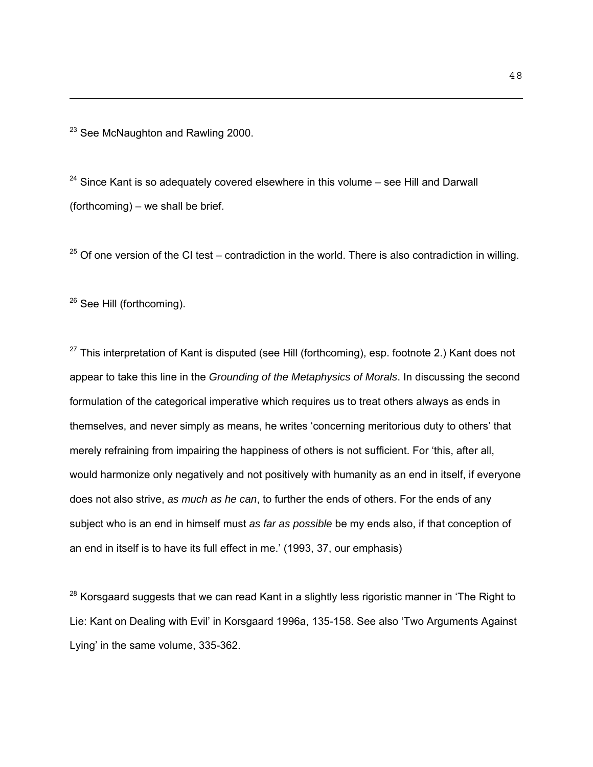<sup>23</sup> See McNaughton and Rawling 2000.

i<br>L

 $24$  Since Kant is so adequately covered elsewhere in this volume – see Hill and Darwall (forthcoming) – we shall be brief.

 $25$  Of one version of the CI test – contradiction in the world. There is also contradiction in willing.

<sup>26</sup> See Hill (forthcoming).

 $27$  This interpretation of Kant is disputed (see Hill (forthcoming), esp. footnote 2.) Kant does not appear to take this line in the *Grounding of the Metaphysics of Morals*. In discussing the second formulation of the categorical imperative which requires us to treat others always as ends in themselves, and never simply as means, he writes 'concerning meritorious duty to others' that merely refraining from impairing the happiness of others is not sufficient. For 'this, after all, would harmonize only negatively and not positively with humanity as an end in itself, if everyone does not also strive, *as much as he can*, to further the ends of others. For the ends of any subject who is an end in himself must *as far as possible* be my ends also, if that conception of an end in itself is to have its full effect in me.' (1993, 37, our emphasis)

<sup>28</sup> Korsgaard suggests that we can read Kant in a slightly less rigoristic manner in 'The Right to Lie: Kant on Dealing with Evil' in Korsgaard 1996a, 135-158. See also 'Two Arguments Against Lying' in the same volume, 335-362.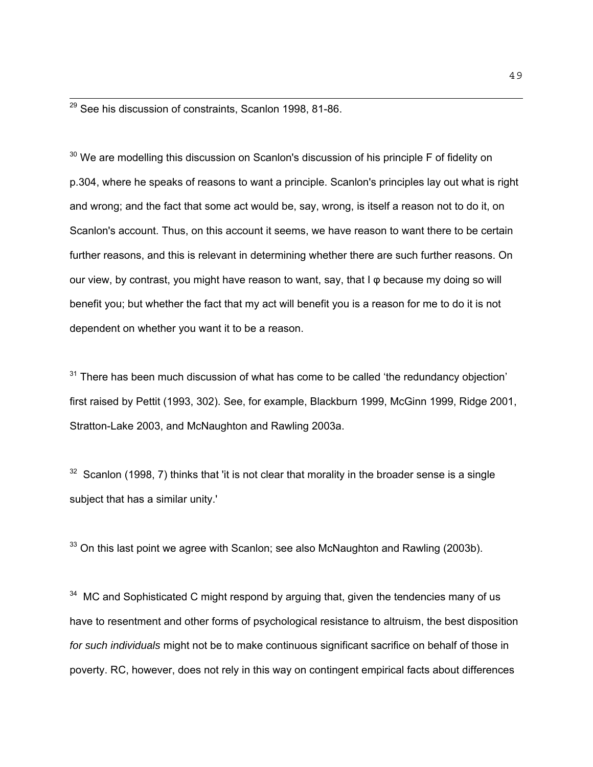<sup>29</sup> See his discussion of constraints, Scanlon 1998, 81-86.

i<br>L

 $30$  We are modelling this discussion on Scanlon's discussion of his principle F of fidelity on p.304, where he speaks of reasons to want a principle. Scanlon's principles lay out what is right and wrong; and the fact that some act would be, say, wrong, is itself a reason not to do it, on Scanlon's account. Thus, on this account it seems, we have reason to want there to be certain further reasons, and this is relevant in determining whether there are such further reasons. On our view, by contrast, you might have reason to want, say, that I φ because my doing so will benefit you; but whether the fact that my act will benefit you is a reason for me to do it is not dependent on whether you want it to be a reason.

 $31$  There has been much discussion of what has come to be called 'the redundancy objection' first raised by Pettit (1993, 302). See, for example, Blackburn 1999, McGinn 1999, Ridge 2001, Stratton-Lake 2003, and McNaughton and Rawling 2003a.

 $32$  Scanlon (1998, 7) thinks that 'it is not clear that morality in the broader sense is a single subject that has a similar unity.'

 $33$  On this last point we agree with Scanlon; see also McNaughton and Rawling (2003b).

<sup>34</sup> MC and Sophisticated C might respond by arguing that, given the tendencies many of us have to resentment and other forms of psychological resistance to altruism, the best disposition *for such individuals* might not be to make continuous significant sacrifice on behalf of those in poverty. RC, however, does not rely in this way on contingent empirical facts about differences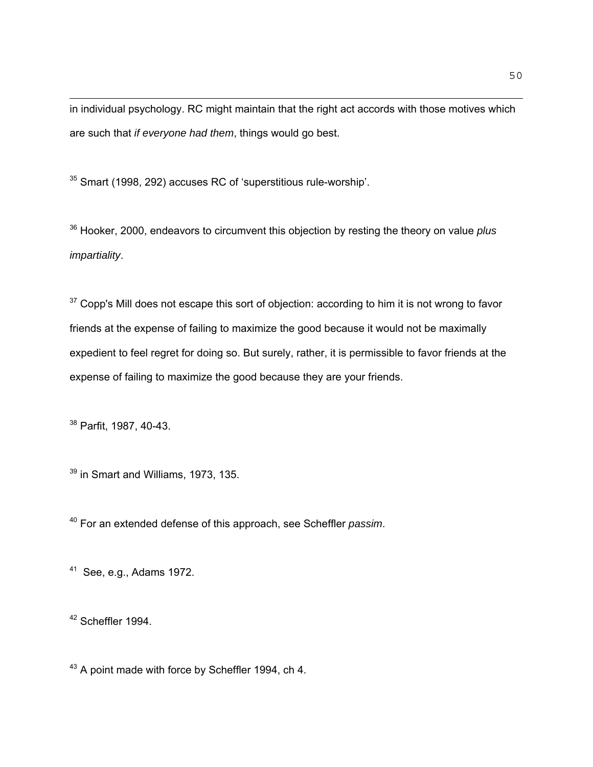in individual psychology. RC might maintain that the right act accords with those motives which are such that *if everyone had them*, things would go best.

35 Smart (1998, 292) accuses RC of 'superstitious rule-worship'.

36 Hooker, 2000, endeavors to circumvent this objection by resting the theory on value *plus impartiality*.

 $37$  Copp's Mill does not escape this sort of objection: according to him it is not wrong to favor friends at the expense of failing to maximize the good because it would not be maximally expedient to feel regret for doing so. But surely, rather, it is permissible to favor friends at the expense of failing to maximize the good because they are your friends.

38 Parfit, 1987, 40-43.

i<br>L

<sup>39</sup> in Smart and Williams, 1973, 135.

40 For an extended defense of this approach, see Scheffler *passim*.

41 See, e.g., Adams 1972.

42 Scheffler 1994.

43 A point made with force by Scheffler 1994, ch 4.